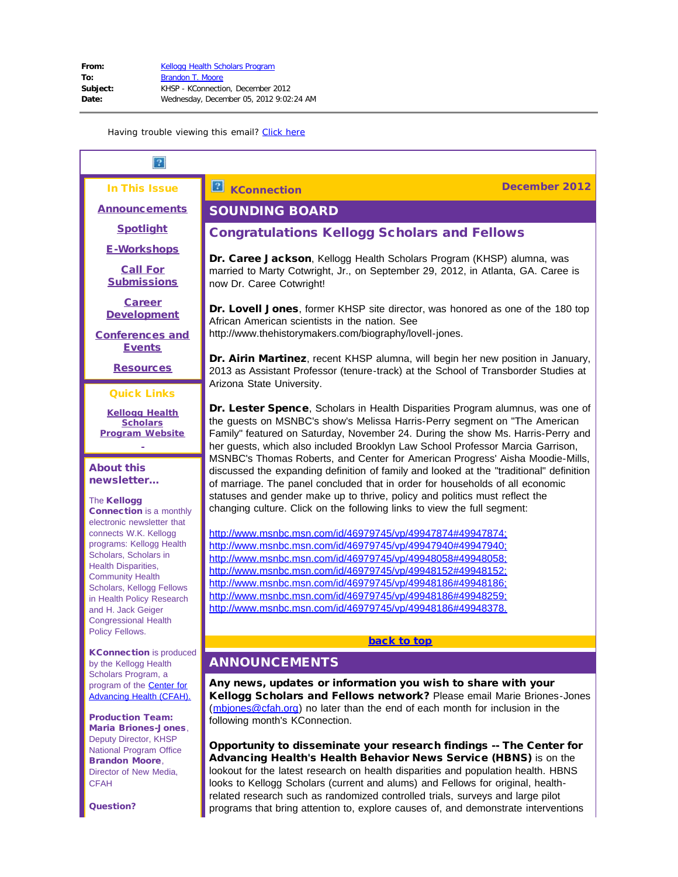#### In This Issue

<span id="page-0-1"></span>**[Announcements](#page-0-0)** 

**[Spotlight](#page-1-0)** 

[E-Workshops](#page-1-1)

[Call For](#page-2-0) **[Submissions](#page-2-0)** 

[Career](#page-3-0) **[Development](#page-3-0)** 

<span id="page-0-2"></span>[Conferences and](#page-12-0) **[Events](#page-12-0)** 

**[Resources](#page-13-0)** 

## Quick Links

**[Kellogg Health](http://r20.rs6.net/tn.jsp?e=001O_PO-uBaD7bn4wbLsWYaJdUYrxGTF9OVVfqN2zqw_nxeAGedpoyYxc9ANtDUxp-3-vDbFejNMyJoXkqCBRmdcr_wicVaRc-LPCa1WomoKcysh-N4BUZWy0rb6DxiWKNz) [Scholars](http://r20.rs6.net/tn.jsp?e=001O_PO-uBaD7bn4wbLsWYaJdUYrxGTF9OVVfqN2zqw_nxeAGedpoyYxc9ANtDUxp-3-vDbFejNMyJoXkqCBRmdcr_wicVaRc-LPCa1WomoKcysh-N4BUZWy0rb6DxiWKNz) [Program](http://r20.rs6.net/tn.jsp?e=001O_PO-uBaD7bn4wbLsWYaJdUYrxGTF9OVVfqN2zqw_nxeAGedpoyYxc9ANtDUxp-3-vDbFejNMyJoXkqCBRmdcr_wicVaRc-LPCa1WomoKcysh-N4BUZWy0rb6DxiWKNz) Website**

#### About this newsletter...

#### **The Kellogg**

Connection is a monthly electronic newsletter that connects W.K. Kellogg programs: Kellogg Health Scholars, Scholars in Health Disparities, Community Health Scholars, Kellogg Fellows in Health Policy Research and H. Jack Geiger Congressional Health Policy Fellows.

<span id="page-0-0"></span>KConnection is produced by the Kellogg Health Scholars Program, a program of the [Center for](http://r20.rs6.net/tn.jsp?e=001O_PO-uBaD7YqDHHMURhZSbL0_m05yiuaF3SmpYYzhqMaI_GoRPke8L3xPhye1NQK6qxk6nSOpZ_GZxufyxMnOAL0fz21mLjUoCbLVmb3fjU=) [Advancing Health \(CFAH\).](http://r20.rs6.net/tn.jsp?e=001O_PO-uBaD7YqDHHMURhZSbL0_m05yiuaF3SmpYYzhqMaI_GoRPke8L3xPhye1NQK6qxk6nSOpZ_GZxufyxMnOAL0fz21mLjUoCbLVmb3fjU=)

Production Team: Maria Briones-Jones, Deputy Director, KHSP National Program Office Brandon Moore, Director of New Media, CFAH

Question?

# SOUNDING BOARD

# Congratulations Kellogg Scholars and Fellows

Dr. Caree Jackson, Kellogg Health Scholars Program (KHSP) alumna, was married to Marty Cotwright, Jr., on September 29, 2012, in Atlanta, GA. Caree is now Dr. Caree Cotwright!

Dr. Lovell Jones, former KHSP site director, was honored as one of the 180 top African American scientists in the nation. See http://www.thehistorymakers.com/biography/lovell-jones.

Dr. Airin Martinez, recent KHSP alumna, will begin her new position in January, 2013 as Assistant Professor (tenure-track) at the School of Transborder Studies at Arizona State University.

Dr. Lester Spence, Scholars in Health Disparities Program alumnus, was one of the guests on MSNBC's show's Melissa Harris-Perry segment on "The American Family" featured on Saturday, November 24. During the show Ms. Harris-Perry and her guests, which also included Brooklyn Law School Professor Marcia Garrison, MSNBC's Thomas Roberts, and Center for American Progress' Aisha Moodie-Mills, discussed the expanding definition of family and looked at the "traditional" definition of marriage. The panel concluded that in order for households of all economic statuses and gender make up to thrive, policy and politics must reflect the changing culture. Click on the following links to view the full segment:

[http://www.msnbc.msn.com/id/46979745/vp/49947874#49947874;](http://r20.rs6.net/tn.jsp?e=001O_PO-uBaD7b_obmf2gcB0HPxbUFkLCfItVmwKK2lo7NL1j32WxiMdbYMPXNyUhawkL8XVXJPDNzxCrvSV11sEkCKe-Sl61YU_DehtQwEiVyLcb_BkdISiOQhi7Pp2AKflMTzSUAYCG_SeaVlWoHn5DteMhfe9YKpBEg04qDm82M=) [http://www.msnbc.msn.com/id/46979745/vp/49947940#49947940;](http://r20.rs6.net/tn.jsp?e=001O_PO-uBaD7ZGLEG8FPnRXV114qmfRxumzkRZbgUyDBUipv_hzD18ezqtpwGn0iouaehntk5Ucbw7uXi93h9Fy36cwWWskU3pwzImmqsRh_v0fXOxo2cGiETEVrayAjLgt-wVjOKKQ3Iat8TY7R3uGp8IQzJyQOlK4KvpFGGPIsw=) [http://www.msnbc.msn.com/id/46979745/vp/49948058#49948058;](http://r20.rs6.net/tn.jsp?e=001O_PO-uBaD7Z_XJepwEgfaUNcpEpK-SW39koiRy3q3iL5ANtD7i-d_XFlXt8mATfIvm42753neTtE1RfKsuqjAUgbULnDlFalR82O44Ocn9x7dbYh471QQ5nvxRCvy1HxpM2dNzN4TG-sDQacnx0sBvqIRCHWv2Oy_Rd0qrPVWW8=) [http://www.msnbc.msn.com/id/46979745/vp/49948152#49948152;](http://r20.rs6.net/tn.jsp?e=001O_PO-uBaD7bjJGcDTREfQ0MbANDf9TFnV8bTnXcjGCjfdwmM9HB9Mk_lzoQx239gXZIc7BS3My5dFouJRyxnqcdmp9uTY0X8zV82HvITuSdoNlEhhRIzlM-1m1mSQJk7FC2LofSjQHQmGBCSCd1GrQo8IW17lzOiwkyp6FPuuX0=) [http://www.msnbc.msn.com/id/46979745/vp/49948186#49948186;](http://r20.rs6.net/tn.jsp?e=001O_PO-uBaD7YW7GrVGvro9K1x-Hm6OukZq3ArOvC67vyIflul_2IopSfNru84UApm1m4y_6MEa5U8N9fXtzk3GqEsvkQjk1AL2OxSOlXz0x3bPun6XVcSdTiEfkDQMnCRIU1nvOePEjDiMoiLx8Xlm4T5UObXMCrT7HZA7Ze7TW4=) [http://www.msnbc.msn.com/id/46979745/vp/49948186#49948259;](http://r20.rs6.net/tn.jsp?e=001O_PO-uBaD7bnYpJBI4XRqGM2j4khxcEP2-4rtjfn5BKnZ-R6_Fmzu16S34cAr7-8vmdS_XEc9xvRw_8MQ8MNKGGGSWMvMIGIxmP3QEsxfsd0m6lXUsboHgMp-OlGaAZIN8t6MciZvp4SuPvJWEHTIe4IaVBUUxlZD52d6b1agDU=) [http://www.msnbc.msn.com/id/46979745/vp/49948186#49948378.](http://r20.rs6.net/tn.jsp?e=001O_PO-uBaD7YjH19L2C4RjZ5seO3eNeiNO22aKCtxjXK6Y9cuaufyrokcyeWBeeuM7mg-yC2nqwxCJgv23kBamIKj5Yq2BaWxsG-hTl2W9pOfg5i_iLYNxVRDNwkoOgSQ4Ls5ccH4HP00r6ErY4Uie4Kq3ZZamDEdv5gXYD0rx3E=)

#### [back to top](#page-0-1)

# ANNOUNCEMENTS

Any news, updates or information you wish to share with your Kellogg Scholars and Fellows network? Please email Marie Briones-Jones (mbiones@cfah.org) no later than the end of each month for inclusion in the following month's KConnection.

Opportunity to disseminate your research findings -- The Center for Advancing Health's Health Behavior News Service (HBNS) is on the lookout for the latest research on health disparities and population health. HBNS looks to Kellogg Scholars (current and alums) and Fellows for original, healthrelated research such as randomized controlled trials, surveys and large pilot programs that bring attention to, explore causes of, and demonstrate interventions

# **R KConnection December 2012**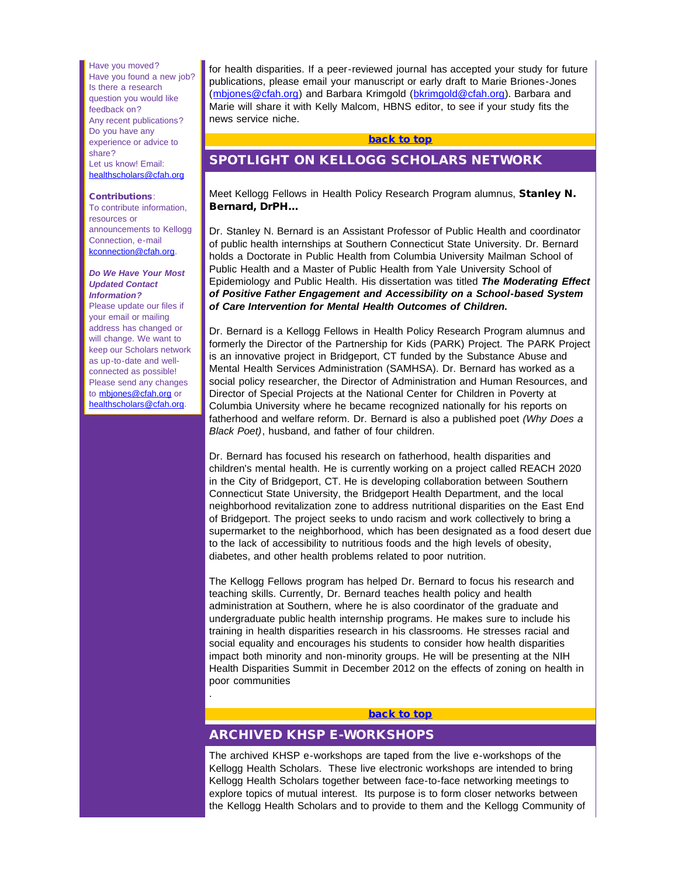<span id="page-1-0"></span>Have you moved? Have you found a new job? Is there a research question you would like feedback on? Any recent publications? Do you have any experience or advice to share? Let us know! Email: [healthscholars@cfah.org](mailto:healthscholars@cfah.org)

#### Contributions:

To contribute information, resources or announcements to Kellogg Connection, e-mail [kconnection@cfah.org.](mailto:kconnection@cfah.org)

#### *Do We Have Your Most Updated Contact Information?*

Please update our files if your email or mailing address has changed or will change. We want to keep our Scholars network as up-to-date and wellconnected as possible! Please send any changes to **[mbjones@cfah.org](mailto:mbjones@cfah.org)** or [healthscholars@cfah.org](mailto:healthscholars@cfah.org).

for health disparities. If a peer-reviewed journal has accepted your study for future publications, please email your manuscript or early draft to Marie Briones-Jones ([mbjones@cfah.org\)](mailto:mbjones@cfah.org) and Barbara Krimgold ([bkrimgold@cfah.org](mailto:bkrimgold@cfah.org)). Barbara and Marie will share it with Kelly Malcom, HBNS editor, to see if your study fits the news service niche.

#### [back to top](#page-0-2)

# SPOTLIGHT ON KELLOGG SCHOLARS NETWORK

Meet Kellogg Fellows in Health Policy Research Program alumnus, Stanley N. Bernard, DrPH...

Dr. Stanley N. Bernard is an Assistant Professor of Public Health and coordinator of public health internships at Southern Connecticut State University. Dr. Bernard holds a Doctorate in Public Health from Columbia University Mailman School of Public Health and a Master of Public Health from Yale University School of Epidemiology and Public Health. His dissertation was titled *The Moderating Effect of Positive Father Engagement and Accessibility on a School-based System of Care Intervention for Mental Health Outcomes of Children.*

Dr. Bernard is a Kellogg Fellows in Health Policy Research Program alumnus and formerly the Director of the Partnership for Kids (PARK) Project. The PARK Project is an innovative project in Bridgeport, CT funded by the Substance Abuse and Mental Health Services Administration (SAMHSA). Dr. Bernard has worked as a social policy researcher, the Director of Administration and Human Resources, and Director of Special Projects at the National Center for Children in Poverty at Columbia University where he became recognized nationally for his reports on fatherhood and welfare reform. Dr. Bernard is also a published poet *(Why Does a Black Poet)*, husband, and father of four children.

Dr. Bernard has focused his research on fatherhood, health disparities and children's mental health. He is currently working on a project called REACH 2020 in the City of Bridgeport, CT. He is developing collaboration between Southern Connecticut State University, the Bridgeport Health Department, and the local neighborhood revitalization zone to address nutritional disparities on the East End of Bridgeport. The project seeks to undo racism and work collectively to bring a supermarket to the neighborhood, which has been designated as a food desert due to the lack of accessibility to nutritious foods and the high levels of obesity, diabetes, and other health problems related to poor nutrition.

<span id="page-1-1"></span>The Kellogg Fellows program has helped Dr. Bernard to focus his research and teaching skills. Currently, Dr. Bernard teaches health policy and health administration at Southern, where he is also coordinator of the graduate and undergraduate public health internship programs. He makes sure to include his training in health disparities research in his classrooms. He stresses racial and social equality and encourages his students to consider how health disparities impact both minority and non-minority groups. He will be presenting at the NIH Health Disparities Summit in December 2012 on the effects of zoning on health in poor communities

# [back to top](#page-0-2)

# ARCHIVED KHSP E-WORKSHOPS

.

The archived KHSP e-workshops are taped from the live e-workshops of the Kellogg Health Scholars. These live electronic workshops are intended to bring Kellogg Health Scholars together between face-to-face networking meetings to explore topics of mutual interest. Its purpose is to form closer networks between the Kellogg Health Scholars and to provide to them and the Kellogg Community of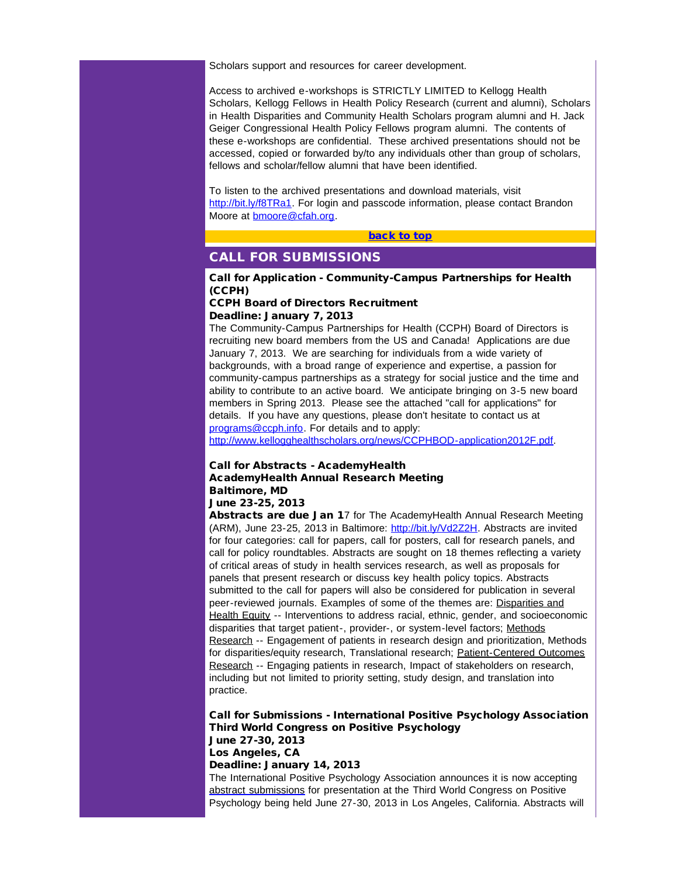Scholars support and resources for career development.

<span id="page-2-0"></span>Access to archived e-workshops is STRICTLY LIMITED to Kellogg Health Scholars, Kellogg Fellows in Health Policy Research (current and alumni), Scholars in Health Disparities and Community Health Scholars program alumni and H. Jack Geiger Congressional Health Policy Fellows program alumni. The contents of these e-workshops are confidential. These archived presentations should not be accessed, copied or forwarded by/to any individuals other than group of scholars, fellows and scholar/fellow alumni that have been identified.

To listen to the archived presentations and download materials, visit [http://bit.ly/f8TRa1.](http://r20.rs6.net/tn.jsp?e=001O_PO-uBaD7Z-g8XzeX4MKgsVkmb0MxV4CG5aXrV9sV0vd3Z0lqBiw4X6roXNPgGq1jNsIB4y5J56Gf79GpS5eVpsIBl0JvKNEiz-X2ocPLJEv6t-_UB0IPjY8GtosFtWQZNRGaMn5tk=) For login and passcode information, please contact Brandon Moore at **bmoore@cfah.org**.

#### [back to top](#page-0-2)

# CALL FOR SUBMISSIONS

### Call for Application - Community-Campus Partnerships for Health (CCPH)

#### CCPH Board of Directors Recruitment Deadline: January 7, 2013

The Community-Campus Partnerships for Health (CCPH) Board of Directors is recruiting new board members from the US and Canada! Applications are due January 7, 2013. We are searching for individuals from a wide variety of backgrounds, with a broad range of experience and expertise, a passion for community-campus partnerships as a strategy for social justice and the time and ability to contribute to an active board. We anticipate bringing on 3-5 new board members in Spring 2013. Please see the attached "call for applications" for details. If you have any questions, please don't hesitate to contact us at [programs@ccph.info](mailto:programs@ccph.info). For details and to apply:

[http://www.kellogghealthscholars.org/news/CCPHBOD-application2012F.pdf.](http://r20.rs6.net/tn.jsp?e=001O_PO-uBaD7Yxvk8BOOIsthZL6DoZxg_cbnBjzjgSJWKdHTfwYyCO7-BFGlu3ibD5pjFwKdcWZWRwXNjMU-_7mVhv7QZ1VauS8wFxIM9ObmKchfdyh50t2CLlOxk5QlwcTiuKQKVbqz96pmFXRn1vAOpG63au0zw507sstjelTy8=)

#### Call for Abstracts - AcademyHealth AcademyHealth Annual Research Meeting Baltimore, MD June 23-25, 2013

Abstracts are due Jan 17 for The AcademyHealth Annual Research Meeting (ARM), June 23-25, 2013 in Baltimore: [http://bit.ly/Vd2Z2H](http://r20.rs6.net/tn.jsp?e=001O_PO-uBaD7ZANTpqqPerMTCFMD2EwLNFj_4CCMxr6p_Fnw5RdTExQdcsF6OFtlZDz8sGrUaQAlPxfafYKg9P0sRaH_N0vTHGx27IqhPF81g=). Abstracts are invited for four categories: call for papers, call for posters, call for research panels, and call for policy roundtables. Abstracts are sought on 18 themes reflecting a variety of critical areas of study in health services research, as well as proposals for panels that present research or discuss key health policy topics. Abstracts submitted to the call for papers will also be considered for publication in several peer-reviewed journals. Examples of some of the themes are: Disparities and Health Equity -- Interventions to address racial, ethnic, gender, and socioeconomic disparities that target patient-, provider-, or system-level factors; Methods Research -- Engagement of patients in research design and prioritization, Methods for disparities/equity research, Translational research; Patient-Centered Outcomes Research *--* Engaging patients in research, Impact of stakeholders on research, including but not limited to priority setting, study design, and translation into practice.

Call for Submissions - International Positive Psychology Association Third World Congress on Positive Psychology June 27-30, 2013 Los Angeles, CA Deadline: January 14, 2013 The International Positive Psychology Association announces it is now accepting

[abstract submissions](http://r20.rs6.net/tn.jsp?e=0018EDRRsPBC55QK2eK5_3oqP6ltGe7lQfUcSxw_0-PJj35Zcb6lq9Ke0Pbllhu24HwiIzloMKGkZU1EKgyVwIYCA_ldgH749IolgAYfM-PeuTInQHeU_xq9tAoFAFV3ANQ5AspbaYVtRvIJMkv0L0Hdw==) for presentation at the Third World Congress on Positive Psychology being held June 27-30, 2013 in Los Angeles, California. Abstracts will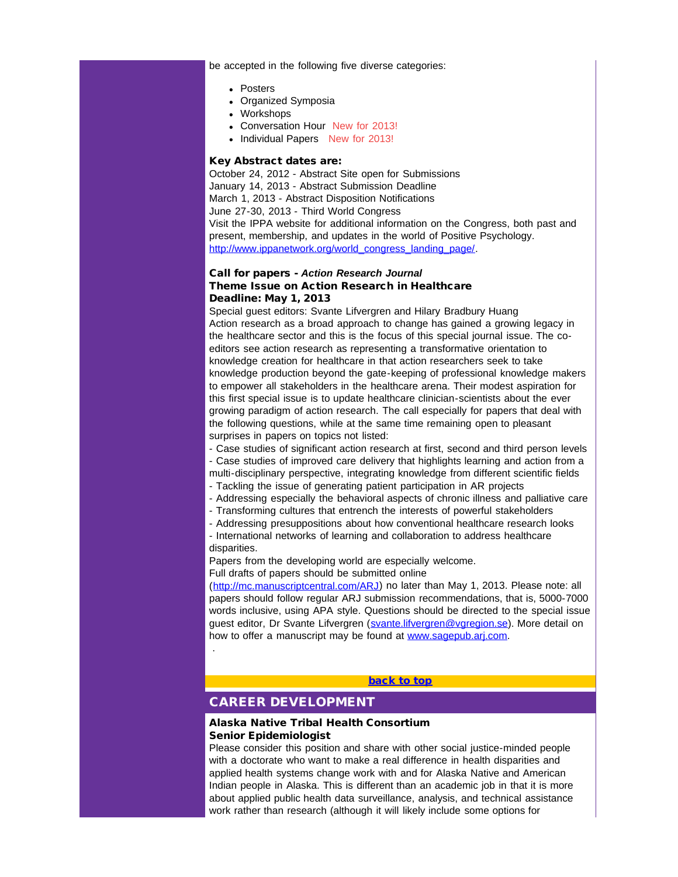be accepted in the following five diverse categories:

- Posters
- Organized Symposia
- Workshops
- Conversation Hour New for 2013!
- Individual Papers New for 2013!

#### Key Abstract dates are:

October 24, 2012 - Abstract Site open for Submissions January 14, 2013 - Abstract Submission Deadline March 1, 2013 - Abstract Disposition Notifications June 27-30, 2013 - Third World Congress Visit the IPPA website for additional information on the Congress, both past and present, membership, and updates in the world of Positive Psychology. [http://www.ippanetwork.org/world\\_congress\\_landing\\_page/](http://r20.rs6.net/tn.jsp?t=guhnbnlab.0.bzpocnlab.5gytkqcab.1&ts=S0849&p=http%3A%2F%2Fwww.ippanetwork.org%2Fworld_congress_landing_page%2F).

## Call for papers - *Action Research Journal* Theme Issue on Action Research in Healthcare Deadline: May 1, 2013

Special guest editors: Svante Lifvergren and Hilary Bradbury Huang Action research as a broad approach to change has gained a growing legacy in the healthcare sector and this is the focus of this special journal issue. The coeditors see action research as representing a transformative orientation to knowledge creation for healthcare in that action researchers seek to take knowledge production beyond the gate-keeping of professional knowledge makers to empower all stakeholders in the healthcare arena. Their modest aspiration for this first special issue is to update healthcare clinician-scientists about the ever growing paradigm of action research. The call especially for papers that deal with the following questions, while at the same time remaining open to pleasant surprises in papers on topics not listed:

- Case studies of significant action research at first, second and third person levels

- Case studies of improved care delivery that highlights learning and action from a

multi-disciplinary perspective, integrating knowledge from different scientific fields

- Tackling the issue of generating patient participation in AR projects
- Addressing especially the behavioral aspects of chronic illness and palliative care
- Transforming cultures that entrench the interests of powerful stakeholders
- <span id="page-3-0"></span>- Addressing presuppositions about how conventional healthcare research looks

- International networks of learning and collaboration to address healthcare disparities.

Papers from the developing world are especially welcome.

Full drafts of papers should be submitted online

([http://mc.manuscriptcentral.com/ARJ\)](http://r20.rs6.net/tn.jsp?t=guhnbnlab.0.czpocnlab.5gytkqcab.1&ts=S0849&p=http%3A%2F%2Fmc.manuscriptcentral.com%2FARJ) no later than May 1, 2013. Please note: all papers should follow regular ARJ submission recommendations, that is, 5000-7000 words inclusive, using APA style. Questions should be directed to the special issue guest editor, Dr Svante Lifvergren ([svante.lifvergren@vgregion.se\)](mailto:svante.lifvergren@vgregion.se). More detail on how to offer a manuscript may be found at [www.sagepub.arj.com](http://r20.rs6.net/tn.jsp?t=guhnbnlab.0.ezpocnlab.5gytkqcab.1&ts=S0849&p=http%3A%2F%2Fwww.sagepub.arj.com).

#### [back to top](#page-0-2)

# CAREER DEVELOPMENT

.

## Alaska Native Tribal Health Consortium Senior Epidemiologist

Please consider this position and share with other social justice-minded people with a doctorate who want to make a real difference in health disparities and applied health systems change work with and for Alaska Native and American Indian people in Alaska. This is different than an academic job in that it is more about applied public health data surveillance, analysis, and technical assistance work rather than research (although it will likely include some options for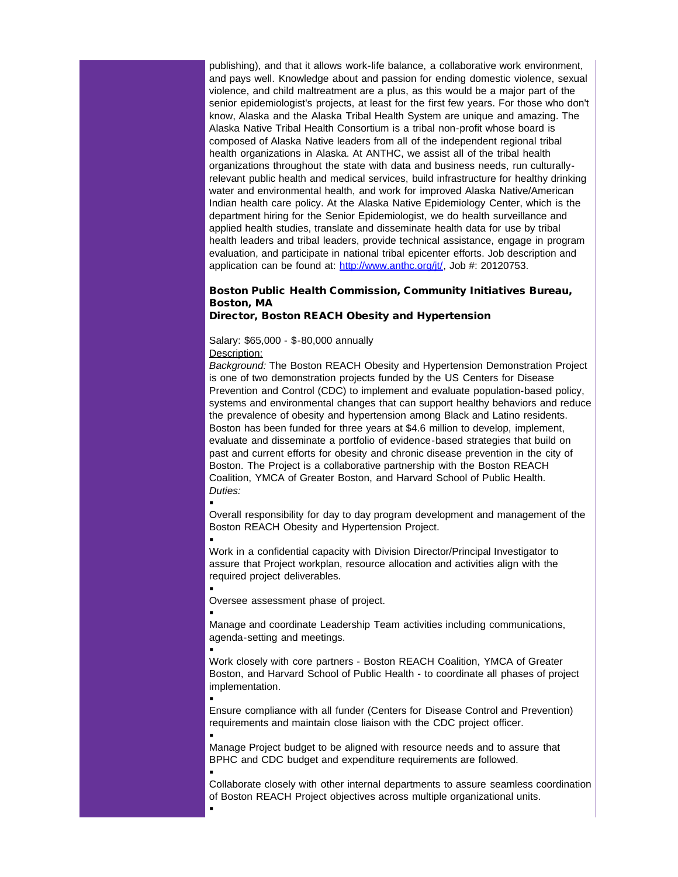publishing), and that it allows work-life balance, a collaborative work environment, and pays well. Knowledge about and passion for ending domestic violence, sexual violence, and child maltreatment are a plus, as this would be a major part of the senior epidemiologist's projects, at least for the first few years. For those who don't know, Alaska and the Alaska Tribal Health System are unique and amazing. The Alaska Native Tribal Health Consortium is a tribal non-profit whose board is composed of Alaska Native leaders from all of the independent regional tribal health organizations in Alaska. At ANTHC, we assist all of the tribal health organizations throughout the state with data and business needs, run culturallyrelevant public health and medical services, build infrastructure for healthy drinking water and environmental health, and work for improved Alaska Native/American Indian health care policy. At the Alaska Native Epidemiology Center, which is the department hiring for the Senior Epidemiologist, we do health surveillance and applied health studies, translate and disseminate health data for use by tribal health leaders and tribal leaders, provide technical assistance, engage in program evaluation, and participate in national tribal epicenter efforts. Job description and application can be found at: [http://www.anthc.org/jt/,](http://r20.rs6.net/tn.jsp?t=guhnbnlab.0.fzpocnlab.5gytkqcab.1&ts=S0849&p=http%3A%2F%2Fwww.anthc.org%2Fjt%2F) Job #: 20120753.

# Boston Public Health Commission, Community Initiatives Bureau, Boston, MA

#### Director, Boston REACH Obesity and Hypertension

Salary: \$65,000 - \$-80,000 annually Description:

*Background:* The Boston REACH Obesity and Hypertension Demonstration Project is one of two demonstration projects funded by the US Centers for Disease Prevention and Control (CDC) to implement and evaluate population-based policy, systems and environmental changes that can support healthy behaviors and reduce the prevalence of obesity and hypertension among Black and Latino residents. Boston has been funded for three years at \$4.6 million to develop, implement, evaluate and disseminate a portfolio of evidence-based strategies that build on past and current efforts for obesity and chronic disease prevention in the city of Boston. The Project is a collaborative partnership with the Boston REACH Coalition, YMCA of Greater Boston, and Harvard School of Public Health. *Duties:*

§

§

Overall responsibility for day to day program development and management of the Boston REACH Obesity and Hypertension Project.

§ Work in a confidential capacity with Division Director/Principal Investigator to assure that Project workplan, resource allocation and activities align with the required project deliverables.

§ Oversee assessment phase of project.

§ Manage and coordinate Leadership Team activities including communications, agenda-setting and meetings.

§ Work closely with core partners - Boston REACH Coalition, YMCA of Greater Boston, and Harvard School of Public Health - to coordinate all phases of project implementation.

§ Ensure compliance with all funder (Centers for Disease Control and Prevention) requirements and maintain close liaison with the CDC project officer. §

Manage Project budget to be aligned with resource needs and to assure that BPHC and CDC budget and expenditure requirements are followed.

§ Collaborate closely with other internal departments to assure seamless coordination of Boston REACH Project objectives across multiple organizational units.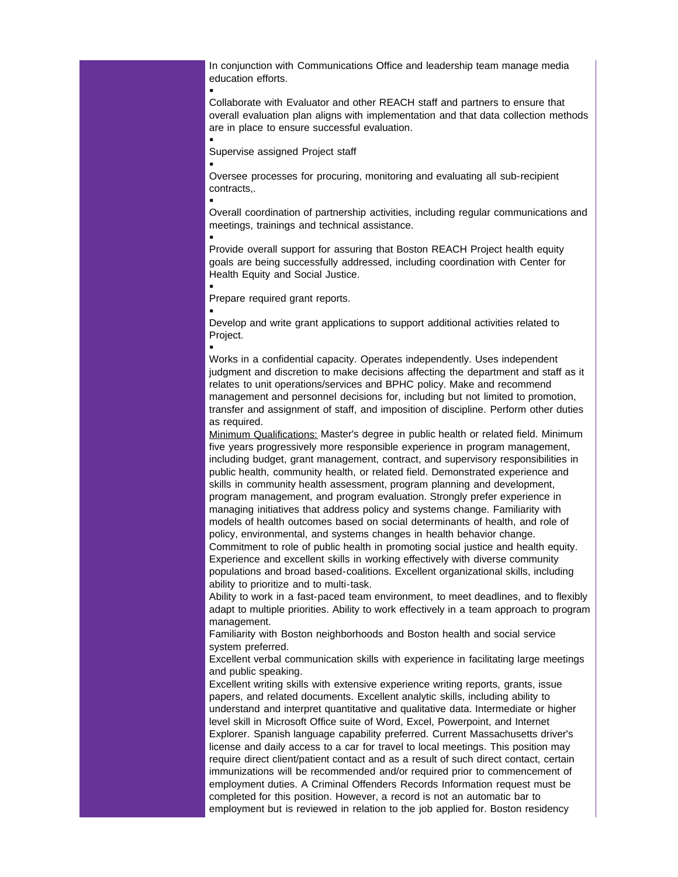In conjunction with Communications Office and leadership team manage media education efforts.

Collaborate with Evaluator and other REACH staff and partners to ensure that overall evaluation plan aligns with implementation and that data collection methods are in place to ensure successful evaluation.

Supervise assigned Project staff

§

§

§

§

§

§

§

§ Oversee processes for procuring, monitoring and evaluating all sub-recipient contracts,.

Overall coordination of partnership activities, including regular communications and meetings, trainings and technical assistance.

Provide overall support for assuring that Boston REACH Project health equity goals are being successfully addressed, including coordination with Center for Health Equity and Social Justice.

Prepare required grant reports.

Develop and write grant applications to support additional activities related to Project.

Works in a confidential capacity. Operates independently. Uses independent judgment and discretion to make decisions affecting the department and staff as it relates to unit operations/services and BPHC policy. Make and recommend management and personnel decisions for, including but not limited to promotion, transfer and assignment of staff, and imposition of discipline. Perform other duties as required.

Minimum Qualifications: Master's degree in public health or related field. Minimum five years progressively more responsible experience in program management, including budget, grant management, contract, and supervisory responsibilities in public health, community health, or related field. Demonstrated experience and skills in community health assessment, program planning and development, program management, and program evaluation. Strongly prefer experience in managing initiatives that address policy and systems change. Familiarity with models of health outcomes based on social determinants of health, and role of policy, environmental, and systems changes in health behavior change. Commitment to role of public health in promoting social justice and health equity.

Experience and excellent skills in working effectively with diverse community populations and broad based-coalitions. Excellent organizational skills, including ability to prioritize and to multi-task.

Ability to work in a fast-paced team environment, to meet deadlines, and to flexibly adapt to multiple priorities. Ability to work effectively in a team approach to program management.

Familiarity with Boston neighborhoods and Boston health and social service system preferred.

Excellent verbal communication skills with experience in facilitating large meetings and public speaking.

Excellent writing skills with extensive experience writing reports, grants, issue papers, and related documents. Excellent analytic skills, including ability to understand and interpret quantitative and qualitative data. Intermediate or higher level skill in Microsoft Office suite of Word, Excel, Powerpoint, and Internet Explorer. Spanish language capability preferred. Current Massachusetts driver's license and daily access to a car for travel to local meetings. This position may require direct client/patient contact and as a result of such direct contact, certain immunizations will be recommended and/or required prior to commencement of employment duties. A Criminal Offenders Records Information request must be completed for this position. However, a record is not an automatic bar to employment but is reviewed in relation to the job applied for. Boston residency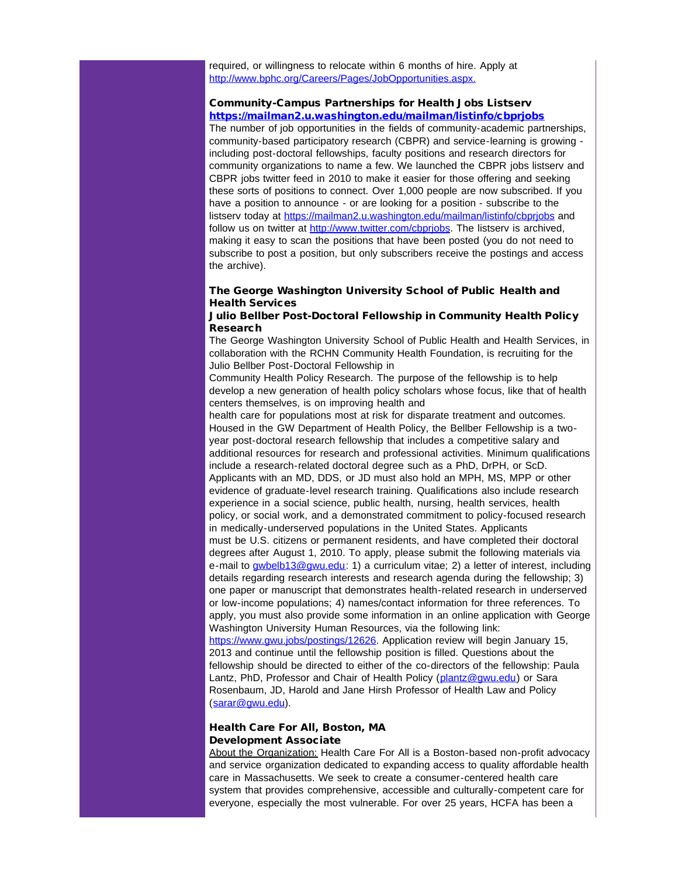required, or willingness to relocate within 6 months of hire. Apply at [http://www.bphc.org/Careers/Pages/JobOpportunities.aspx.](http://r20.rs6.net/tn.jsp?t=guhnbnlab.0.gzpocnlab.5gytkqcab.1&ts=S0849&p=http%3A%2F%2Fwww.bphc.org%2FCareers%2FPages%2FJobOpportunities.aspx.)

#### Community-Campus Partnerships for Health Jobs Listserv [https://mailman2.u.washington.edu/mailman/listinfo/cbprjobs](http://r20.rs6.net/tn.jsp?t=guhnbnlab.0.zp84bdeab.5gytkqcab.1&ts=S0849&p=https%3A%2F%2Fmailman2.u.washington.edu%2Fmailman%2Flistinfo%2Fcbprjobs)

The number of job opportunities in the fields of community-academic partnerships, community-based participatory research (CBPR) and service-learning is growing including post-doctoral fellowships, faculty positions and research directors for community organizations to name a few. We launched the CBPR jobs listserv and CBPR jobs twitter feed in 2010 to make it easier for those offering and seeking these sorts of positions to connect. Over 1,000 people are now subscribed. If you have a position to announce - or are looking for a position - subscribe to the listserv today at https://mailman2.u.washington.edu/mailman/listinfo/cbpriobs and follow us on twitter at http://www.twitter.com/cbpriobs. The listsery is archived. making it easy to scan the positions that have been posted (you do not need to subscribe to post a position, but only subscribers receive the postings and access the archive).

# The George Washington University School of Public Health and Health Services

## Julio Bellber Post-Doctoral Fellowship in Community Health Policy Research

The George Washington University School of Public Health and Health Services, in collaboration with the RCHN Community Health Foundation, is recruiting for the Julio Bellber Post-Doctoral Fellowship in

Community Health Policy Research. The purpose of the fellowship is to help develop a new generation of health policy scholars whose focus, like that of health centers themselves, is on improving health and

health care for populations most at risk for disparate treatment and outcomes. Housed in the GW Department of Health Policy, the Bellber Fellowship is a twoyear post-doctoral research fellowship that includes a competitive salary and additional resources for research and professional activities. Minimum qualifications include a research-related doctoral degree such as a PhD, DrPH, or ScD. Applicants with an MD, DDS, or JD must also hold an MPH, MS, MPP or other evidence of graduate-level research training. Qualifications also include research experience in a social science, public health, nursing, health services, health policy, or social work, and a demonstrated commitment to policy-focused research in medically-underserved populations in the United States. Applicants must be U.S. citizens or permanent residents, and have completed their doctoral degrees after August 1, 2010. To apply, please submit the following materials via e-mail to [gwbelb13@gwu.edu](mailto:gwbelb13@gwu.edu): 1) a curriculum vitae; 2) a letter of interest, including details regarding research interests and research agenda during the fellowship; 3) one paper or manuscript that demonstrates health-related research in underserved or low-income populations; 4) names/contact information for three references. To apply, you must also provide some information in an online application with George Washington University Human Resources, via the following link: [https://www.gwu.jobs/postings/12626.](http://r20.rs6.net/tn.jsp?t=guhnbnlab.0.hzpocnlab.5gytkqcab.1&ts=S0849&p=https%3A%2F%2Fwww.gwu.jobs%2Fpostings%2F12626) Application review will begin January 15, 2013 and continue until the fellowship position is filled. Questions about the fellowship should be directed to either of the co-directors of the fellowship: Paula Lantz, PhD, Professor and Chair of Health Policy ([plantz@gwu.edu\)](mailto:plantz@gwu.edu) or Sara Rosenbaum, JD, Harold and Jane Hirsh Professor of Health Law and Policy

([sarar@gwu.edu\)](mailto:sarar@gwu.edu).

#### Health Care For All, Boston, MA Development Associate

About the Organization: Health Care For All is a Boston-based non-profit advocacy and service organization dedicated to expanding access to quality affordable health care in Massachusetts. We seek to create a consumer-centered health care system that provides comprehensive, accessible and culturally-competent care for everyone, especially the most vulnerable. For over 25 years, HCFA has been a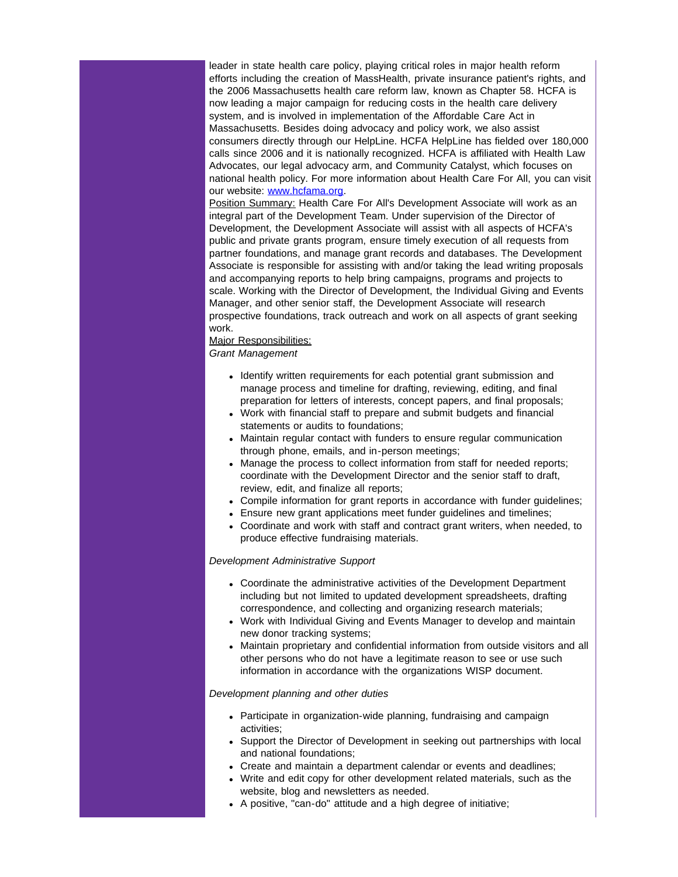leader in state health care policy, playing critical roles in major health reform efforts including the creation of MassHealth, private insurance patient's rights, and the 2006 Massachusetts health care reform law, known as Chapter 58. HCFA is now leading a major campaign for reducing costs in the health care delivery system, and is involved in implementation of the Affordable Care Act in Massachusetts. Besides doing advocacy and policy work, we also assist consumers directly through our HelpLine. HCFA HelpLine has fielded over 180,000 calls since 2006 and it is nationally recognized. HCFA is affiliated with Health Law Advocates, our legal advocacy arm, and Community Catalyst, which focuses on national health policy. For more information about Health Care For All, you can visit our website: [www.hcfama.org](http://r20.rs6.net/tn.jsp?t=guhnbnlab.0.izpocnlab.5gytkqcab.1&ts=S0849&p=http%3A%2F%2Fwww.hcfama.org).

Position Summary: Health Care For All's Development Associate will work as an integral part of the Development Team. Under supervision of the Director of Development, the Development Associate will assist with all aspects of HCFA's public and private grants program, ensure timely execution of all requests from partner foundations, and manage grant records and databases. The Development Associate is responsible for assisting with and/or taking the lead writing proposals and accompanying reports to help bring campaigns, programs and projects to scale. Working with the Director of Development, the Individual Giving and Events Manager, and other senior staff, the Development Associate will research prospective foundations, track outreach and work on all aspects of grant seeking work.

#### Major Responsibilities: *Grant Management*

- Identify written requirements for each potential grant submission and manage process and timeline for drafting, reviewing, editing, and final preparation for letters of interests, concept papers, and final proposals;
- Work with financial staff to prepare and submit budgets and financial statements or audits to foundations;
- Maintain regular contact with funders to ensure regular communication through phone, emails, and in-person meetings;
- Manage the process to collect information from staff for needed reports; coordinate with the Development Director and the senior staff to draft, review, edit, and finalize all reports;
- Compile information for grant reports in accordance with funder guidelines;
- Ensure new grant applications meet funder guidelines and timelines;
- Coordinate and work with staff and contract grant writers, when needed, to produce effective fundraising materials.

#### *Development Administrative Support*

- Coordinate the administrative activities of the Development Department including but not limited to updated development spreadsheets, drafting correspondence, and collecting and organizing research materials;
- Work with Individual Giving and Events Manager to develop and maintain new donor tracking systems;
- Maintain proprietary and confidential information from outside visitors and all other persons who do not have a legitimate reason to see or use such information in accordance with the organizations WISP document.

## *Development planning and other duties*

- Participate in organization-wide planning, fundraising and campaign activities;
- Support the Director of Development in seeking out partnerships with local and national foundations;
- Create and maintain a department calendar or events and deadlines;
- Write and edit copy for other development related materials, such as the website, blog and newsletters as needed.
- A positive, "can-do" attitude and a high degree of initiative;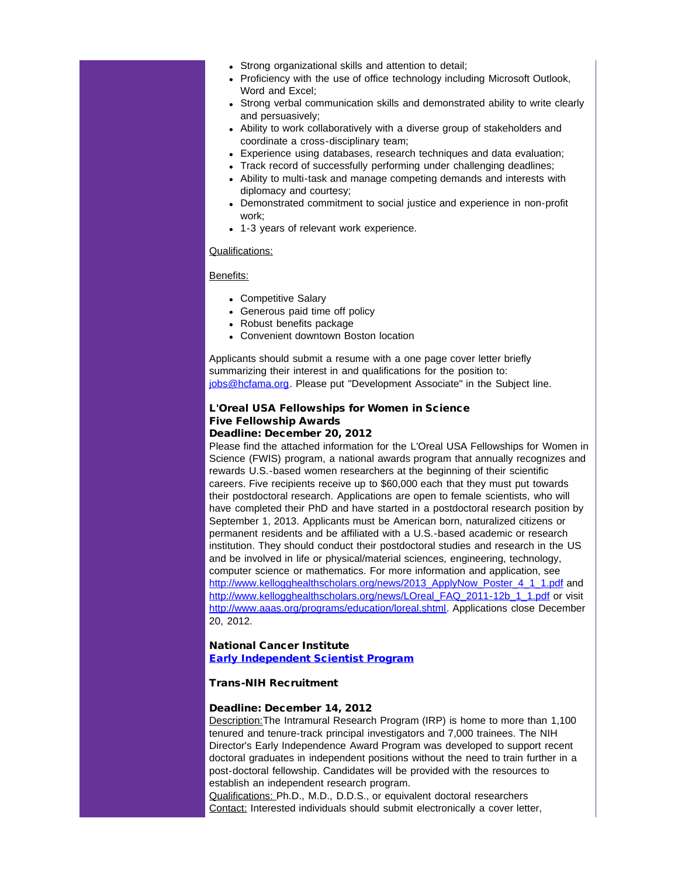- Strong organizational skills and attention to detail;
- Proficiency with the use of office technology including Microsoft Outlook, Word and Excel;
- Strong verbal communication skills and demonstrated ability to write clearly and persuasively;
- Ability to work collaboratively with a diverse group of stakeholders and coordinate a cross-disciplinary team;
- Experience using databases, research techniques and data evaluation;
- Track record of successfully performing under challenging deadlines;
- Ability to multi-task and manage competing demands and interests with diplomacy and courtesy;
- Demonstrated commitment to social justice and experience in non-profit work;
- 1-3 years of relevant work experience.

#### Qualifications:

#### Benefits:

- Competitive Salary
- Generous paid time off policy
- Robust benefits package
- Convenient downtown Boston location

Applicants should submit a resume with a one page cover letter briefly summarizing their interest in and qualifications for the position to: [jobs@hcfama.org.](mailto:jobs@hcfama.org) Please put "Development Associate" in the Subject line.

# L'Oreal USA Fellowships for Women in Science Five Fellowship Awards

# Deadline: December 20, 2012

Please find the attached information for the L'Oreal USA Fellowships for Women in Science (FWIS) program, a national awards program that annually recognizes and rewards U.S.-based women researchers at the beginning of their scientific careers. Five recipients receive up to \$60,000 each that they must put towards their postdoctoral research. Applications are open to female scientists, who will have completed their PhD and have started in a postdoctoral research position by September 1, 2013. Applicants must be American born, naturalized citizens or permanent residents and be affiliated with a U.S.-based academic or research institution. They should conduct their postdoctoral studies and research in the US and be involved in life or physical/material sciences, engineering, technology, computer science or mathematics. For more information and application, see [http://www.kellogghealthscholars.org/news/2013\\_ApplyNow\\_Poster\\_4\\_1\\_1.pdf](http://r20.rs6.net/tn.jsp?t=guhnbnlab.0.jzpocnlab.5gytkqcab.1&ts=S0849&p=http%3A%2F%2Fwww.kellogghealthscholars.org%2Fnews%2F2013_ApplyNow_Poster_4_1_1.pdf) and [http://www.kellogghealthscholars.org/news/LOreal\\_FAQ\\_2011-12b\\_1\\_1.pdf](http://r20.rs6.net/tn.jsp?t=guhnbnlab.0.kzpocnlab.5gytkqcab.1&ts=S0849&p=http%3A%2F%2Fwww.kellogghealthscholars.org%2Fnews%2FLOreal_FAQ_2011-12b_1_1.pdf) or visit [http://www.aaas.org/programs/education/loreal.shtml](http://r20.rs6.net/tn.jsp?t=guhnbnlab.0.lzpocnlab.5gytkqcab.1&ts=S0849&p=http%3A%2F%2Fwww.aaas.org%2Fprograms%2Feducation%2Floreal.shtml). Applications close December 20, 2012.

#### National Cancer Institute [Early Independent Scientist Program](http://r20.rs6.net/tn.jsp?t=guhnbnlab.0.mzpocnlab.5gytkqcab.1&ts=S0849&p=http%3A%2F%2Firp.nih.gov%2Fcareers%2Ffaculty-level-scientific-careers%2Fearly-independent-scientists-trans-nih-recruitment)

#### Trans-NIH Recruitment

#### Deadline: December 14, 2012

Description:The Intramural Research Program (IRP) is home to more than 1,100 tenured and tenure-track principal investigators and 7,000 trainees. The NIH Director's Early Independence Award Program was developed to support recent doctoral graduates in independent positions without the need to train further in a post-doctoral fellowship. Candidates will be provided with the resources to establish an independent research program.

Qualifications: Ph.D., M.D., D.D.S., or equivalent doctoral researchers Contact: Interested individuals should submit electronically a cover letter,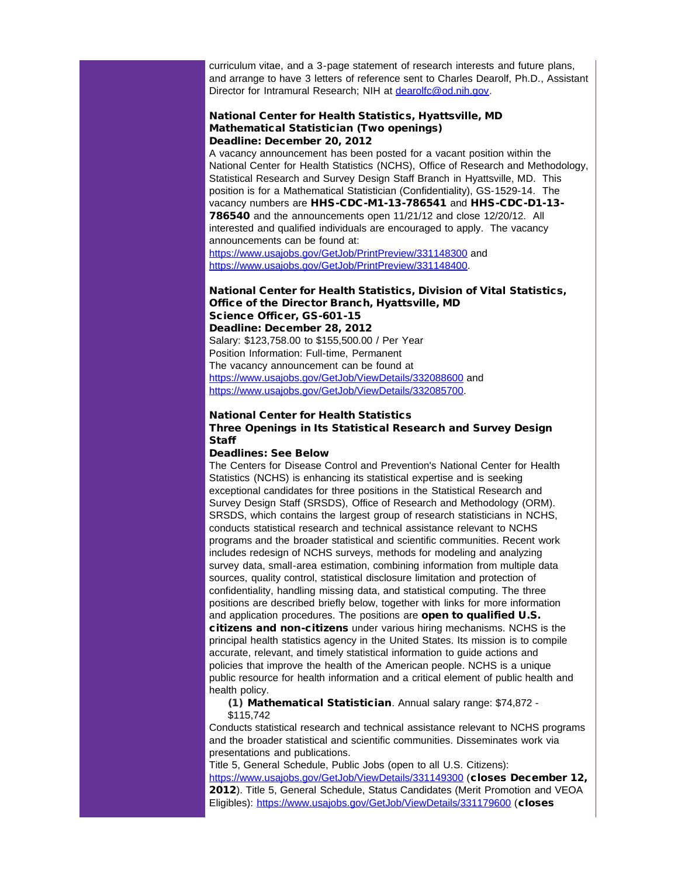curriculum vitae, and a 3-page statement of research interests and future plans, and arrange to have 3 letters of reference sent to Charles Dearolf, Ph.D., Assistant Director for Intramural Research; NIH at [dearolfc@od.nih.gov](mailto:dearolfc@od.nih.gov).

#### National Center for Health Statistics, Hyattsville, MD Mathematical Statistician (Two openings) Deadline: December 20, 2012

A vacancy announcement has been posted for a vacant position within the National Center for Health Statistics (NCHS), Office of Research and Methodology, Statistical Research and Survey Design Staff Branch in Hyattsville, MD. This position is for a Mathematical Statistician (Confidentiality), GS-1529-14. The vacancy numbers are HHS-CDC-M1-13-786541 and HHS-CDC-D1-13- 786540 and the announcements open 11/21/12 and close 12/20/12. All interested and qualified individuals are encouraged to apply. The vacancy announcements can be found at: [https://www.usajobs.gov/GetJob/PrintPreview/331148300](http://r20.rs6.net/tn.jsp?t=guhnbnlab.0.nzpocnlab.5gytkqcab.1&ts=S0849&p=https%3A%2F%2Fwww.usajobs.gov%2FGetJob%2FPrintPreview%2F331148300) and

[https://www.usajobs.gov/GetJob/PrintPreview/331148400](http://r20.rs6.net/tn.jsp?t=guhnbnlab.0.ozpocnlab.5gytkqcab.1&ts=S0849&p=https%3A%2F%2Fwww.usajobs.gov%2FGetJob%2FPrintPreview%2F331148400).

## National Center for Health Statistics, Division of Vital Statistics, Office of the Director Branch, Hyattsville, MD Science Officer, GS-601-15 Deadline: December 28, 2012 Salary: \$123,758.00 to \$155,500.00 / Per Year Position Information: Full-time, Permanent The vacancy announcement can be found at

[https://www.usajobs.gov/GetJob/ViewDetails/332088600](http://r20.rs6.net/tn.jsp?t=guhnbnlab.0.pzpocnlab.5gytkqcab.1&ts=S0849&p=https%3A%2F%2Fwww.usajobs.gov%2FGetJob%2FViewDetails%2F332088600) and [https://www.usajobs.gov/GetJob/ViewDetails/332085700.](http://r20.rs6.net/tn.jsp?t=guhnbnlab.0.qzpocnlab.5gytkqcab.1&ts=S0849&p=https%3A%2F%2Fwww.usajobs.gov%2FGetJob%2FViewDetails%2F332085700)

# National Center for Health Statistics

Three Openings in Its Statistical Research and Survey Design **Staff** 

## Deadlines: See Below

The Centers for Disease Control and Prevention's National Center for Health Statistics (NCHS) is enhancing its statistical expertise and is seeking exceptional candidates for three positions in the Statistical Research and Survey Design Staff (SRSDS), Office of Research and Methodology (ORM). SRSDS, which contains the largest group of research statisticians in NCHS, conducts statistical research and technical assistance relevant to NCHS programs and the broader statistical and scientific communities. Recent work includes redesign of NCHS surveys, methods for modeling and analyzing survey data, small-area estimation, combining information from multiple data sources, quality control, statistical disclosure limitation and protection of confidentiality, handling missing data, and statistical computing. The three positions are described briefly below, together with links for more information and application procedures. The positions are open to qualified U.S. citizens and non-citizens under various hiring mechanisms. NCHS is the principal health statistics agency in the United States. Its mission is to compile accurate, relevant, and timely statistical information to guide actions and policies that improve the health of the American people. NCHS is a unique public resource for health information and a critical element of public health and health policy.

(1) Mathematical Statistician. Annual salary range: \$74,872 - \$115,742

Conducts statistical research and technical assistance relevant to NCHS programs and the broader statistical and scientific communities. Disseminates work via presentations and publications.

Title 5, General Schedule, Public Jobs (open to all U.S. Citizens): [https://www.usajobs.gov/GetJob/ViewDetails/331149300](http://r20.rs6.net/tn.jsp?t=guhnbnlab.0.rzpocnlab.5gytkqcab.1&ts=S0849&p=https%3A%2F%2Fwww.usajobs.gov%2FGetJob%2FViewDetails%2F331149300) (closes December 12, 2012). Title 5, General Schedule, Status Candidates (Merit Promotion and VEOA Eligibles): [https://www.usajobs.gov/GetJob/ViewDetails/331179600](http://r20.rs6.net/tn.jsp?t=guhnbnlab.0.szpocnlab.5gytkqcab.1&ts=S0849&p=https%3A%2F%2Fwww.usajobs.gov%2FGetJob%2FViewDetails%2F331179600) (closes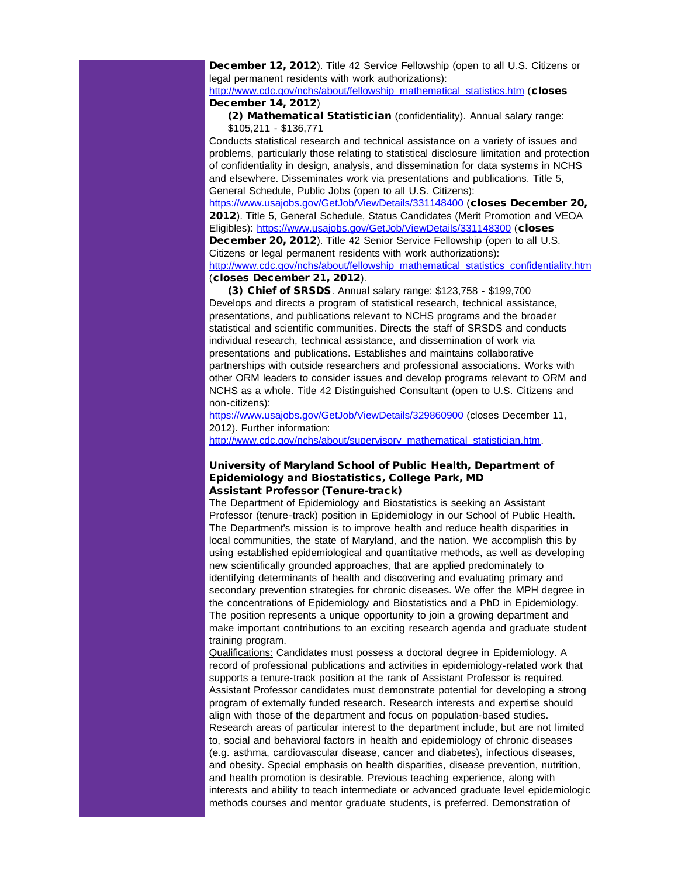December 12, 2012). Title 42 Service Fellowship (open to all U.S. Citizens or legal permanent residents with work authorizations):

[http://www.cdc.gov/nchs/about/fellowship\\_mathematical\\_statistics.htm](http://r20.rs6.net/tn.jsp?t=guhnbnlab.0.tzpocnlab.5gytkqcab.1&ts=S0849&p=http%3A%2F%2Fwww.cdc.gov%2Fnchs%2Fabout%2Ffellowship_mathematical_statistics.htm) (closes December 14, 2012)

(2) Mathematical Statistician (confidentiality). Annual salary range: \$105,211 - \$136,771

Conducts statistical research and technical assistance on a variety of issues and problems, particularly those relating to statistical disclosure limitation and protection of confidentiality in design, analysis, and dissemination for data systems in NCHS and elsewhere. Disseminates work via presentations and publications. Title 5, General Schedule, Public Jobs (open to all U.S. Citizens):

[https://www.usajobs.gov/GetJob/ViewDetails/331148400](http://r20.rs6.net/tn.jsp?t=guhnbnlab.0.uzpocnlab.5gytkqcab.1&ts=S0849&p=https%3A%2F%2Fwww.usajobs.gov%2FGetJob%2FViewDetails%2F331148400) (closes December 20, 2012). Title 5, General Schedule, Status Candidates (Merit Promotion and VEOA Eligibles): [https://www.usajobs.gov/GetJob/ViewDetails/331148300](http://r20.rs6.net/tn.jsp?t=guhnbnlab.0.vzpocnlab.5gytkqcab.1&ts=S0849&p=https%3A%2F%2Fwww.usajobs.gov%2FGetJob%2FViewDetails%2F331148300) (closes December 20, 2012). Title 42 Senior Service Fellowship (open to all U.S. Citizens or legal permanent residents with work authorizations):

[http://www.cdc.gov/nchs/about/fellowship\\_mathematical\\_statistics\\_confidentiality.htm](http://r20.rs6.net/tn.jsp?t=guhnbnlab.0.wzpocnlab.5gytkqcab.1&ts=S0849&p=http%3A%2F%2Fwww.cdc.gov%2Fnchs%2Fabout%2Ffellowship_mathematical_statistics_confidentiality.htm) (closes December 21, 2012).

(3) Chief of SRSDS. Annual salary range: \$123,758 - \$199,700 Develops and directs a program of statistical research, technical assistance, presentations, and publications relevant to NCHS programs and the broader statistical and scientific communities. Directs the staff of SRSDS and conducts individual research, technical assistance, and dissemination of work via presentations and publications. Establishes and maintains collaborative partnerships with outside researchers and professional associations. Works with other ORM leaders to consider issues and develop programs relevant to ORM and NCHS as a whole. Title 42 Distinguished Consultant (open to U.S. Citizens and non-citizens):

[https://www.usajobs.gov/GetJob/ViewDetails/329860900](http://r20.rs6.net/tn.jsp?t=guhnbnlab.0.meijxhlab.5gytkqcab.1&ts=S0849&p=https%3A%2F%2Fwww.usajobs.gov%2FGetJob%2FViewDetails%2F329860900) (closes December 11, 2012). Further information:

[http://www.cdc.gov/nchs/about/supervisory\\_mathematical\\_statistician.htm.](http://r20.rs6.net/tn.jsp?t=guhnbnlab.0.xzpocnlab.5gytkqcab.1&ts=S0849&p=http%3A%2F%2Fwww.cdc.gov%2Fnchs%2Fabout%2Fsupervisory_mathematical_statistician.htm)

# University of Maryland School of Public Health, Department of Epidemiology and Biostatistics, College Park, MD Assistant Professor (Tenure-track)

The Department of Epidemiology and Biostatistics is seeking an Assistant Professor (tenure-track) position in Epidemiology in our School of Public Health. The Department's mission is to improve health and reduce health disparities in local communities, the state of Maryland, and the nation. We accomplish this by using established epidemiological and quantitative methods, as well as developing new scientifically grounded approaches, that are applied predominately to identifying determinants of health and discovering and evaluating primary and secondary prevention strategies for chronic diseases. We offer the MPH degree in the concentrations of Epidemiology and Biostatistics and a PhD in Epidemiology. The position represents a unique opportunity to join a growing department and make important contributions to an exciting research agenda and graduate student training program.

Qualifications: Candidates must possess a doctoral degree in Epidemiology. A record of professional publications and activities in epidemiology-related work that supports a tenure-track position at the rank of Assistant Professor is required. Assistant Professor candidates must demonstrate potential for developing a strong program of externally funded research. Research interests and expertise should align with those of the department and focus on population-based studies. Research areas of particular interest to the department include, but are not limited to, social and behavioral factors in health and epidemiology of chronic diseases (e.g. asthma, cardiovascular disease, cancer and diabetes), infectious diseases, and obesity. Special emphasis on health disparities, disease prevention, nutrition, and health promotion is desirable. Previous teaching experience, along with interests and ability to teach intermediate or advanced graduate level epidemiologic methods courses and mentor graduate students, is preferred. Demonstration of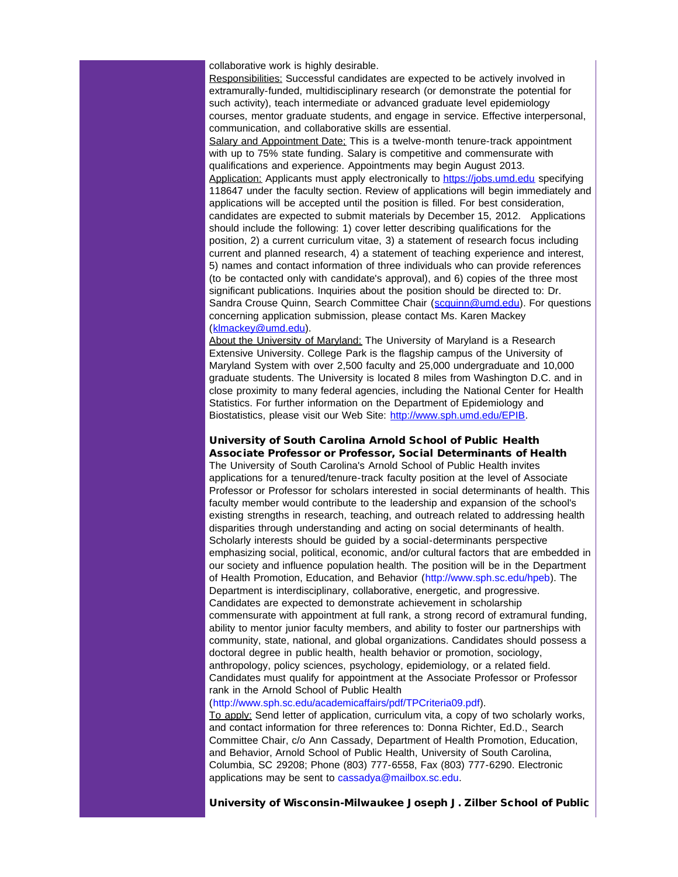collaborative work is highly desirable.

Responsibilities: Successful candidates are expected to be actively involved in extramurally-funded, multidisciplinary research (or demonstrate the potential for such activity), teach intermediate or advanced graduate level epidemiology courses, mentor graduate students, and engage in service. Effective interpersonal, communication, and collaborative skills are essential. Salary and Appointment Date: This is a twelve-month tenure-track appointment with up to 75% state funding. Salary is competitive and commensurate with qualifications and experience. Appointments may begin August 2013. Application: Applicants must apply electronically to [https://jobs.umd.edu](http://r20.rs6.net/tn.jsp?t=guhnbnlab.0.h7n9dneab.5gytkqcab.1&ts=S0849&p=https%3A%2F%2Fjobs.umd.edu) specifying 118647 under the faculty section. Review of applications will begin immediately and applications will be accepted until the position is filled. For best consideration, candidates are expected to submit materials by December 15, 2012. Applications should include the following: 1) cover letter describing qualifications for the position, 2) a current curriculum vitae, 3) a statement of research focus including current and planned research, 4) a statement of teaching experience and interest, 5) names and contact information of three individuals who can provide references (to be contacted only with candidate's approval), and 6) copies of the three most significant publications. Inquiries about the position should be directed to: Dr. Sandra Crouse Quinn, Search Committee Chair ([scquinn@umd.edu\)](mailto:scquinn@umd.edu). For questions concerning application submission, please contact Ms. Karen Mackey ([klmackey@umd.edu\)](mailto:klmackey@umd.edu).

About the University of Maryland: The University of Maryland is a Research Extensive University. College Park is the flagship campus of the University of Maryland System with over 2,500 faculty and 25,000 undergraduate and 10,000 graduate students. The University is located 8 miles from Washington D.C. and in close proximity to many federal agencies, including the National Center for Health Statistics. For further information on the Department of Epidemiology and Biostatistics, please visit our Web Site: [http://www.sph.umd.edu/EPIB.](http://r20.rs6.net/tn.jsp?t=guhnbnlab.0.wejhb6iab.5gytkqcab.1&ts=S0849&p=http%3A%2F%2Fwww.sph.umd.edu%2FEPIB)

#### University of South Carolina Arnold School of Public Health Associate Professor or Professor, Social Determinants of Health

The University of South Carolina's Arnold School of Public Health invites applications for a tenured/tenure-track faculty position at the level of Associate Professor or Professor for scholars interested in social determinants of health. This faculty member would contribute to the leadership and expansion of the school's existing strengths in research, teaching, and outreach related to addressing health disparities through understanding and acting on social determinants of health. Scholarly interests should be guided by a social-determinants perspective emphasizing social, political, economic, and/or cultural factors that are embedded in our society and influence population health. The position will be in the Department of Health Promotion, Education, and Behavior (http://www.sph.sc.edu/hpeb). The Department is interdisciplinary, collaborative, energetic, and progressive. Candidates are expected to demonstrate achievement in scholarship commensurate with appointment at full rank, a strong record of extramural funding, ability to mentor junior faculty members, and ability to foster our partnerships with community, state, national, and global organizations. Candidates should possess a doctoral degree in public health, health behavior or promotion, sociology, anthropology, policy sciences, psychology, epidemiology, or a related field. Candidates must qualify for appointment at the Associate Professor or Professor rank in the Arnold School of Public Health

(http://www.sph.sc.edu/academicaffairs/pdf/TPCriteria09.pdf).

To apply: Send letter of application, curriculum vita, a copy of two scholarly works, and contact information for three references to: Donna Richter, Ed.D., Search Committee Chair, c/o Ann Cassady, Department of Health Promotion, Education, and Behavior, Arnold School of Public Health, University of South Carolina, Columbia, SC 29208; Phone (803) 777-6558, Fax (803) 777-6290. Electronic applications may be sent to cassadya@mailbox.sc.edu.

University of Wisconsin-Milwaukee Joseph J. Zilber School of Public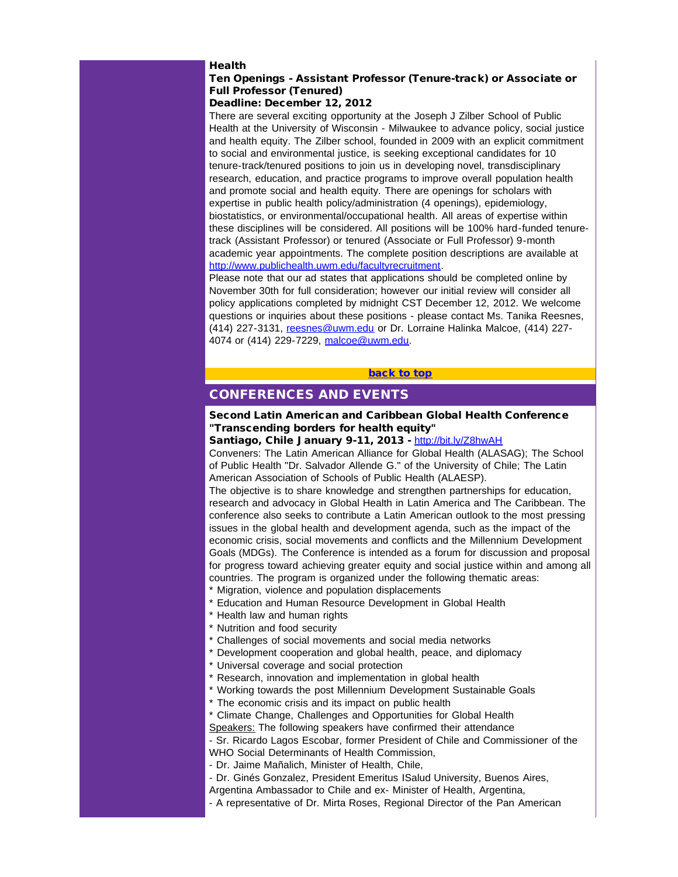#### Health

# Ten Openings - Assistant Professor (Tenure-track) or Associate or Full Professor (Tenured)

# Deadline: December 12, 2012

There are several exciting opportunity at the Joseph J Zilber School of Public Health at the University of Wisconsin - Milwaukee to advance policy, social justice and health equity. The Zilber school, founded in 2009 with an explicit commitment to social and environmental justice, is seeking exceptional candidates for 10 tenure-track/tenured positions to join us in developing novel, transdisciplinary research, education, and practice programs to improve overall population health and promote social and health equity. There are openings for scholars with expertise in public health policy/administration (4 openings), epidemiology, biostatistics, or environmental/occupational health. All areas of expertise within these disciplines will be considered. All positions will be 100% hard-funded tenuretrack (Assistant Professor) or tenured (Associate or Full Professor) 9-month academic year appointments. The complete position descriptions are available at [http://www.publichealth.uwm.edu/facultyrecruitment](http://r20.rs6.net/tn.jsp?t=guhnbnlab.0.yzpocnlab.5gytkqcab.1&ts=S0849&p=http%3A%2F%2Fwww.publichealth.uwm.edu%2Ffacultyrecruitment).

<span id="page-12-0"></span>Please note that our ad states that applications should be completed online by November 30th for full consideration; however our initial review will consider all policy applications completed by midnight CST December 12, 2012. We welcome questions or inquiries about these positions - please contact Ms. Tanika Reesnes, (414) 227-3131, [reesnes@uwm.edu](mailto:reesnes@uwm.edu) or Dr. Lorraine Halinka Malcoe, (414) 227 4074 or (414) 229-7229, [malcoe@uwm.edu](mailto:malcoe@uwm.edu).

#### [back to top](#page-0-2)

# CONFERENCES AND EVENTS

# Second Latin American and Caribbean Global Health Conference "Transcending borders for health equity"

Santiago, Chile January 9-11, 2013 - [http://bit.ly/Z8hwAH](http://r20.rs6.net/tn.jsp?t=guhnbnlab.0.zzpocnlab.5gytkqcab.1&ts=S0849&p=http%3A%2F%2Fbit.ly%2FZ8hwAH)

Conveners: The Latin American Alliance for Global Health (ALASAG); The School of Public Health "Dr. Salvador Allende G." of the University of Chile; The Latin American Association of Schools of Public Health (ALAESP).

The objective is to share knowledge and strengthen partnerships for education, research and advocacy in Global Health in Latin America and The Caribbean. The conference also seeks to contribute a Latin American outlook to the most pressing issues in the global health and development agenda, such as the impact of the economic crisis, social movements and conflicts and the Millennium Development Goals (MDGs). The Conference is intended as a forum for discussion and proposal for progress toward achieving greater equity and social justice within and among all countries. The program is organized under the following thematic areas:

\* Migration, violence and population displacements

\* Education and Human Resource Development in Global Health

\* Health law and human rights

- \* Nutrition and food security
- \* Challenges of social movements and social media networks
- \* Development cooperation and global health, peace, and diplomacy

\* Universal coverage and social protection

\* Research, innovation and implementation in global health

\* Working towards the post Millennium Development Sustainable Goals

\* The economic crisis and its impact on public health

\* Climate Change, Challenges and Opportunities for Global Health

Speakers: The following speakers have confirmed their attendance

- Sr. Ricardo Lagos Escobar, former President of Chile and Commissioner of the WHO Social Determinants of Health Commission,

- Dr. Jaime Mañalich, Minister of Health, Chile,

- Dr. Ginés Gonzalez, President Emeritus ISalud University, Buenos Aires,

Argentina Ambassador to Chile and ex- Minister of Health, Argentina,

- A representative of Dr. Mirta Roses, Regional Director of the Pan American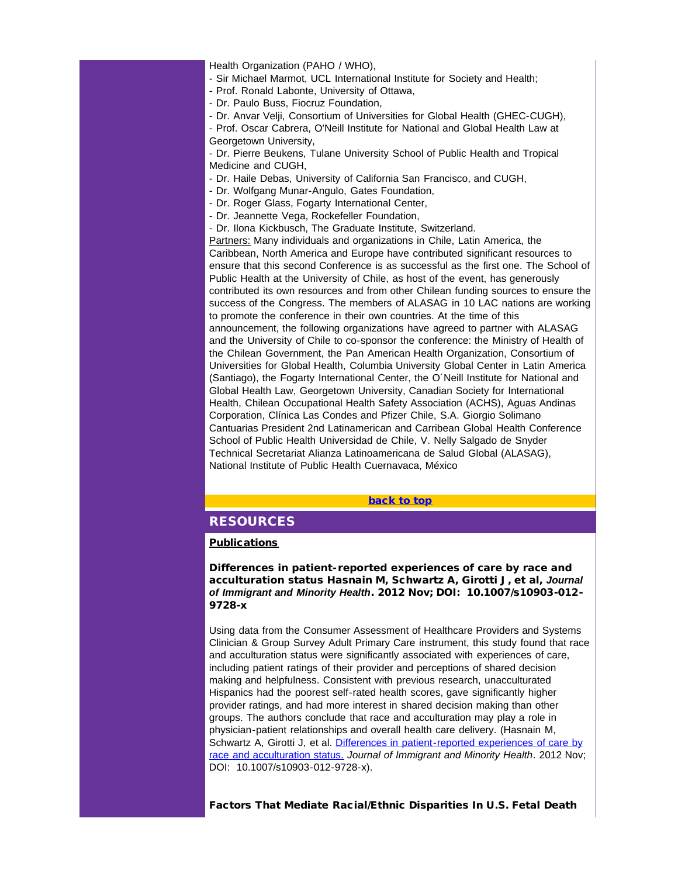Health Organization (PAHO / WHO),

- Sir Michael Marmot, UCL International Institute for Society and Health;
- Prof. Ronald Labonte, University of Ottawa,

- Dr. Paulo Buss, Fiocruz Foundation,

- Dr. Anvar Velji, Consortium of Universities for Global Health (GHEC-CUGH), - Prof. Oscar Cabrera, O'Neill Institute for National and Global Health Law at

Georgetown University,

- Dr. Pierre Beukens, Tulane University School of Public Health and Tropical Medicine and CUGH,

- Dr. Haile Debas, University of California San Francisco, and CUGH,
- Dr. Wolfgang Munar-Angulo, Gates Foundation,
- Dr. Roger Glass, Fogarty International Center,
- Dr. Jeannette Vega, Rockefeller Foundation,
- Dr. Ilona Kickbusch, The Graduate Institute, Switzerland.

<span id="page-13-0"></span>Partners: Many individuals and organizations in Chile, Latin America, the Caribbean, North America and Europe have contributed significant resources to ensure that this second Conference is as successful as the first one. The School of Public Health at the University of Chile, as host of the event, has generously contributed its own resources and from other Chilean funding sources to ensure the success of the Congress. The members of ALASAG in 10 LAC nations are working to promote the conference in their own countries. At the time of this announcement, the following organizations have agreed to partner with ALASAG and the University of Chile to co-sponsor the conference: the Ministry of Health of the Chilean Government, the Pan American Health Organization, Consortium of Universities for Global Health, Columbia University Global Center in Latin America (Santiago), the Fogarty International Center, the O´Neill Institute for National and Global Health Law, Georgetown University, Canadian Society for International Health, Chilean Occupational Health Safety Association (ACHS), Aguas Andinas Corporation, Clínica Las Condes and Pfizer Chile, S.A. Giorgio Solimano Cantuarias President 2nd Latinamerican and Carribean Global Health Conference School of Public Health Universidad de Chile, V. Nelly Salgado de Snyder Technical Secretariat Alianza Latinoamericana de Salud Global (ALASAG), National Institute of Public Health Cuernavaca, México

[back to top](#page-0-2)

# **RESOURCES**

# **Publications**

**Differences in patient-reported experiences of care by race and acculturation status** Hasnain M, Schwartz A, Girotti J, et al, *Journal of Immigrant and Minority Health*. 2012 Nov; DOI: 10.1007/s10903-012- 9728-x

Using data from the Consumer Assessment of Healthcare Providers and Systems Clinician & Group Survey Adult Primary Care instrument, this study found that race and acculturation status were significantly associated with experiences of care, including patient ratings of their provider and perceptions of shared decision making and helpfulness. Consistent with previous research, unacculturated Hispanics had the poorest self-rated health scores, gave significantly higher provider ratings, and had more interest in shared decision making than other groups. The authors conclude that race and acculturation may play a role in physician-patient relationships and overall health care delivery. (Hasnain M, Schwartz A, Girotti J, et al. [Differences in patient-reported experiences of care by](http://r20.rs6.net/tn.jsp?t=guhnbnlab.0.9zpocnlab.5gytkqcab.1&ts=S0849&p=http%3A%2F%2Fsmtp01.kff.org%2Ft%2F34201%2F321763%2F38036%2F0%2F) [race and acculturation status.](http://r20.rs6.net/tn.jsp?t=guhnbnlab.0.9zpocnlab.5gytkqcab.1&ts=S0849&p=http%3A%2F%2Fsmtp01.kff.org%2Ft%2F34201%2F321763%2F38036%2F0%2F) *Journal of Immigrant and Minority Health*. 2012 Nov; DOI: 10.1007/s10903-012-9728-x).

Factors That Mediate Racial/Ethnic Disparities In U.S. Fetal Death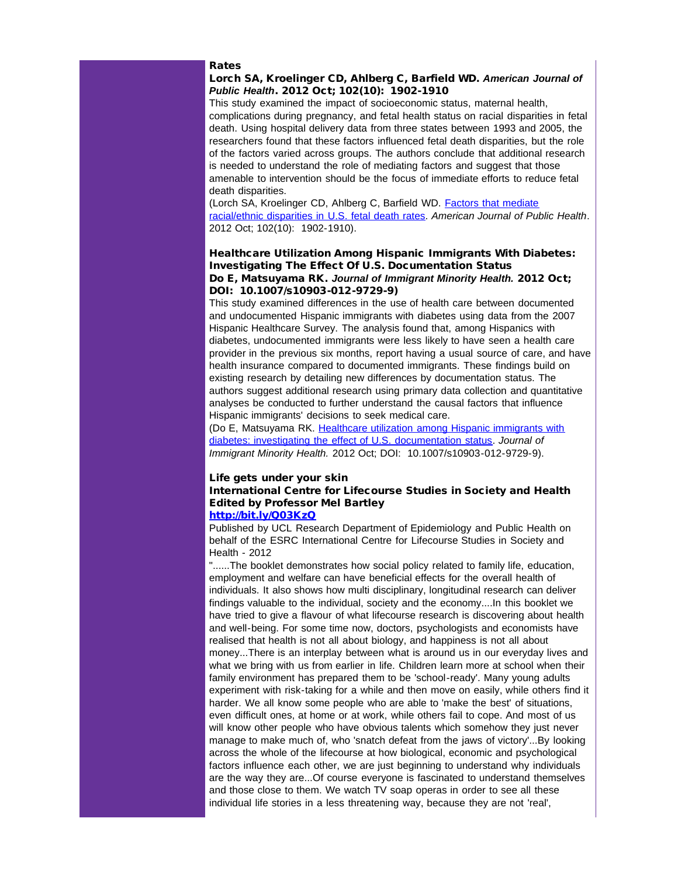#### Rates

Lorch SA, Kroelinger CD, Ahlberg C, Barfield WD. *American Journal of Public Health*. 2012 Oct; 102(10): 1902-1910

This study examined the impact of socioeconomic status, maternal health, complications during pregnancy, and fetal health status on racial disparities in fetal death. Using hospital delivery data from three states between 1993 and 2005, the researchers found that these factors influenced fetal death disparities, but the role of the factors varied across groups. The authors conclude that additional research is needed to understand the role of mediating factors and suggest that those amenable to intervention should be the focus of immediate efforts to reduce fetal death disparities.

(Lorch SA, Kroelinger CD, Ahlberg C, Barfield WD. [Factors that mediate](http://r20.rs6.net/tn.jsp?t=guhnbnlab.0.8zpocnlab.5gytkqcab.1&ts=S0849&p=http%3A%2F%2Fsmtp01.kff.org%2Ft%2F34201%2F321763%2F38041%2F0%2F) [racial/ethnic disparities in U.S. fetal death rates](http://r20.rs6.net/tn.jsp?t=guhnbnlab.0.8zpocnlab.5gytkqcab.1&ts=S0849&p=http%3A%2F%2Fsmtp01.kff.org%2Ft%2F34201%2F321763%2F38041%2F0%2F). *American Journal of Public Health*. 2012 Oct; 102(10): 1902-1910).

#### Healthcare Utilization Among Hispanic Immigrants With Diabetes: Investigating The Effect Of U.S. Documentation Status Do E, Matsuyama RK. *Journal of Immigrant Minority Health.* 2012 Oct; DOI: 10.1007/s10903-012-9729-9)

This study examined differences in the use of health care between documented and undocumented Hispanic immigrants with diabetes using data from the 2007 Hispanic Healthcare Survey. The analysis found that, among Hispanics with diabetes, undocumented immigrants were less likely to have seen a health care provider in the previous six months, report having a usual source of care, and have health insurance compared to documented immigrants. These findings build on existing research by detailing new differences by documentation status. The authors suggest additional research using primary data collection and quantitative analyses be conducted to further understand the causal factors that influence Hispanic immigrants' decisions to seek medical care.

(Do E, Matsuyama RK. [Healthcare utilization among Hispanic immigrants with](http://r20.rs6.net/tn.jsp?t=guhnbnlab.0.7zpocnlab.5gytkqcab.1&ts=S0849&p=http%3A%2F%2Fsmtp01.kff.org%2Ft%2F34201%2F321763%2F38039%2F0%2F) [diabetes: investigating the effect of U.S. documentation status.](http://r20.rs6.net/tn.jsp?t=guhnbnlab.0.7zpocnlab.5gytkqcab.1&ts=S0849&p=http%3A%2F%2Fsmtp01.kff.org%2Ft%2F34201%2F321763%2F38039%2F0%2F) *Journal of Immigrant Minority Health.* 2012 Oct; DOI: 10.1007/s10903-012-9729-9).

## Life gets under your skin International Centre for Lifecourse Studies in Society and Health Edited by Professor Mel Bartley [http://bit.ly/Q03KzQ](http://r20.rs6.net/tn.jsp?t=guhnbnlab.0.6zpocnlab.5gytkqcab.1&ts=S0849&p=http%3A%2F%2Fbit.ly%2FQ03KzQ)

Published by UCL Research Department of Epidemiology and Public Health on behalf of the ESRC International Centre for Lifecourse Studies in Society and

Health - 2012

"......The booklet demonstrates how social policy related to family life, education, employment and welfare can have beneficial effects for the overall health of individuals. It also shows how multi disciplinary, longitudinal research can deliver findings valuable to the individual, society and the economy....In this booklet we have tried to give a flavour of what lifecourse research is discovering about health and well-being. For some time now, doctors, psychologists and economists have realised that health is not all about biology, and happiness is not all about money...There is an interplay between what is around us in our everyday lives and what we bring with us from earlier in life. Children learn more at school when their family environment has prepared them to be 'school-ready'. Many young adults experiment with risk-taking for a while and then move on easily, while others find it harder. We all know some people who are able to 'make the best' of situations, even difficult ones, at home or at work, while others fail to cope. And most of us will know other people who have obvious talents which somehow they just never manage to make much of, who 'snatch defeat from the jaws of victory'...By looking across the whole of the lifecourse at how biological, economic and psychological factors influence each other, we are just beginning to understand why individuals are the way they are...Of course everyone is fascinated to understand themselves and those close to them. We watch TV soap operas in order to see all these individual life stories in a less threatening way, because they are not 'real',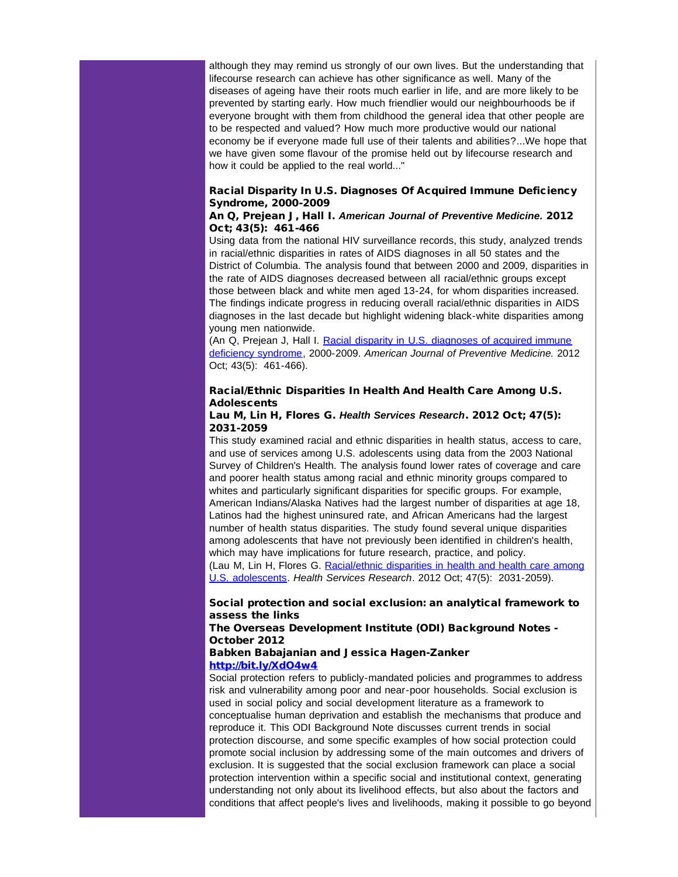although they may remind us strongly of our own lives. But the understanding that lifecourse research can achieve has other significance as well. Many of the diseases of ageing have their roots much earlier in life, and are more likely to be prevented by starting early. How much friendlier would our neighbourhoods be if everyone brought with them from childhood the general idea that other people are to be respected and valued? How much more productive would our national economy be if everyone made full use of their talents and abilities?...We hope that we have given some flavour of the promise held out by lifecourse research and how it could be applied to the real world..."

# Racial Disparity In U.S. Diagnoses Of Acquired Immune Deficiency Syndrome, 2000-2009

#### An Q, Prejean J, Hall I. *American Journal of Preventive Medicine.* 2012 Oct; 43(5): 461-466

Using data from the national HIV surveillance records, this study, analyzed trends in racial/ethnic disparities in rates of AIDS diagnoses in all 50 states and the District of Columbia. The analysis found that between 2000 and 2009, disparities in the rate of AIDS diagnoses decreased between all racial/ethnic groups except those between black and white men aged 13-24, for whom disparities increased. The findings indicate progress in reducing overall racial/ethnic disparities in AIDS diagnoses in the last decade but highlight widening black-white disparities among young men nationwide.

(An Q, Prejean J, Hall I. [Racial disparity in U.S. diagnoses of acquired immune](http://r20.rs6.net/tn.jsp?t=guhnbnlab.0.5zpocnlab.5gytkqcab.1&ts=S0849&p=http%3A%2F%2Fsmtp01.kff.org%2Ft%2F34201%2F321763%2F38037%2F0%2F) [deficiency syndrome,](http://r20.rs6.net/tn.jsp?t=guhnbnlab.0.5zpocnlab.5gytkqcab.1&ts=S0849&p=http%3A%2F%2Fsmtp01.kff.org%2Ft%2F34201%2F321763%2F38037%2F0%2F) 2000-2009. *American Journal of Preventive Medicine.* 2012 Oct; 43(5): 461-466).

# Racial/Ethnic Disparities In Health And Health Care Among U.S. Adolescents

# Lau M, Lin H, Flores G. *Health Services Research*. 2012 Oct; 47(5): 2031-2059

This study examined racial and ethnic disparities in health status, access to care, and use of services among U.S. adolescents using data from the 2003 National Survey of Children's Health. The analysis found lower rates of coverage and care and poorer health status among racial and ethnic minority groups compared to whites and particularly significant disparities for specific groups. For example, American Indians/Alaska Natives had the largest number of disparities at age 18, Latinos had the highest uninsured rate, and African Americans had the largest number of health status disparities. The study found several unique disparities among adolescents that have not previously been identified in children's health, which may have implications for future research, practice, and policy. (Lau M, Lin H, Flores G. [Racial/ethnic disparities in health and health care among](http://r20.rs6.net/tn.jsp?t=guhnbnlab.0.4zpocnlab.5gytkqcab.1&ts=S0849&p=http%3A%2F%2Fsmtp01.kff.org%2Ft%2F34201%2F321763%2F38040%2F0%2F) [U.S. adolescents](http://r20.rs6.net/tn.jsp?t=guhnbnlab.0.4zpocnlab.5gytkqcab.1&ts=S0849&p=http%3A%2F%2Fsmtp01.kff.org%2Ft%2F34201%2F321763%2F38040%2F0%2F). *Health Services Research*. 2012 Oct; 47(5): 2031-2059).

# Social protection and social exclusion: an analytical framework to assess the links

# The Overseas Development Institute (ODI) Background Notes - October 2012

#### Babken Babajanian and Jessica Hagen-Zanker [http://bit.ly/XdO4w4](http://r20.rs6.net/tn.jsp?t=guhnbnlab.0.a9pocnlab.5gytkqcab.1&ts=S0849&p=http%3A%2F%2Fbit.ly%2FXdO4w4)

Social protection refers to publicly-mandated policies and programmes to address risk and vulnerability among poor and near-poor households. Social exclusion is used in social policy and social development literature as a framework to conceptualise human deprivation and establish the mechanisms that produce and reproduce it. This ODI Background Note discusses current trends in social protection discourse, and some specific examples of how social protection could promote social inclusion by addressing some of the main outcomes and drivers of exclusion. It is suggested that the social exclusion framework can place a social protection intervention within a specific social and institutional context, generating understanding not only about its livelihood effects, but also about the factors and conditions that affect people's lives and livelihoods, making it possible to go beyond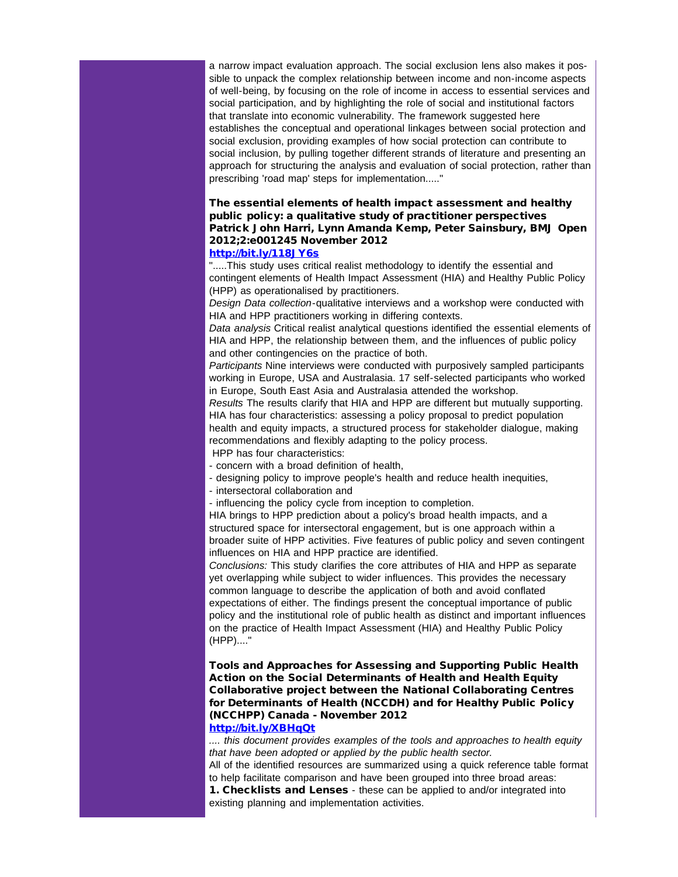a narrow impact evaluation approach. The social exclusion lens also makes it possible to unpack the complex relationship between income and non-income aspects of well-being, by focusing on the role of income in access to essential services and social participation, and by highlighting the role of social and institutional factors that translate into economic vulnerability. The framework suggested here establishes the conceptual and operational linkages between social protection and social exclusion, providing examples of how social protection can contribute to social inclusion, by pulling together different strands of literature and presenting an approach for structuring the analysis and evaluation of social protection, rather than prescribing 'road map' steps for implementation....."

# The essential elements of health impact assessment and healthy public policy: a qualitative study of practitioner perspectives Patrick John Harri, Lynn Amanda Kemp, Peter Sainsbury, BMJ Open 2012;2:e001245 November 2012

#### [http://bit.ly/118JY6s](http://r20.rs6.net/tn.jsp?t=guhnbnlab.0.b9pocnlab.5gytkqcab.1&ts=S0849&p=http%3A%2F%2Fbit.ly%2F118JY6s)

".....This study uses critical realist methodology to identify the essential and contingent elements of Health Impact Assessment (HIA) and Healthy Public Policy (HPP) as operationalised by practitioners.

*Design Data collection*-qualitative interviews and a workshop were conducted with HIA and HPP practitioners working in differing contexts.

*Data analysis* Critical realist analytical questions identified the essential elements of HIA and HPP, the relationship between them, and the influences of public policy and other contingencies on the practice of both.

*Participants* Nine interviews were conducted with purposively sampled participants working in Europe, USA and Australasia. 17 self-selected participants who worked in Europe, South East Asia and Australasia attended the workshop.

*Results* The results clarify that HIA and HPP are different but mutually supporting. HIA has four characteristics: assessing a policy proposal to predict population health and equity impacts, a structured process for stakeholder dialogue, making recommendations and flexibly adapting to the policy process.

HPP has four characteristics:

- concern with a broad definition of health,

- designing policy to improve people's health and reduce health inequities,

- intersectoral collaboration and

- influencing the policy cycle from inception to completion.

HIA brings to HPP prediction about a policy's broad health impacts, and a structured space for intersectoral engagement, but is one approach within a broader suite of HPP activities. Five features of public policy and seven contingent influences on HIA and HPP practice are identified.

*Conclusions:* This study clarifies the core attributes of HIA and HPP as separate yet overlapping while subject to wider influences. This provides the necessary common language to describe the application of both and avoid conflated expectations of either. The findings present the conceptual importance of public policy and the institutional role of public health as distinct and important influences on the practice of Health Impact Assessment (HIA) and Healthy Public Policy (HPP)...."

Tools and Approaches for Assessing and Supporting Public Health Action on the Social Determinants of Health and Health Equity Collaborative project between the National Collaborating Centres for Determinants of Health (NCCDH) and for Healthy Public Policy (NCCHPP) Canada - November 2012

# [http://bit.ly/XBHqQt](http://r20.rs6.net/tn.jsp?t=guhnbnlab.0.c9pocnlab.5gytkqcab.1&ts=S0849&p=http%3A%2F%2Fbit.ly%2FXBHqQt)

*.... this document provides examples of the tools and approaches to health equity that have been adopted or applied by the public health sector.*

All of the identified resources are summarized using a quick reference table format to help facilitate comparison and have been grouped into three broad areas:

1. Checklists and Lenses - these can be applied to and/or integrated into existing planning and implementation activities.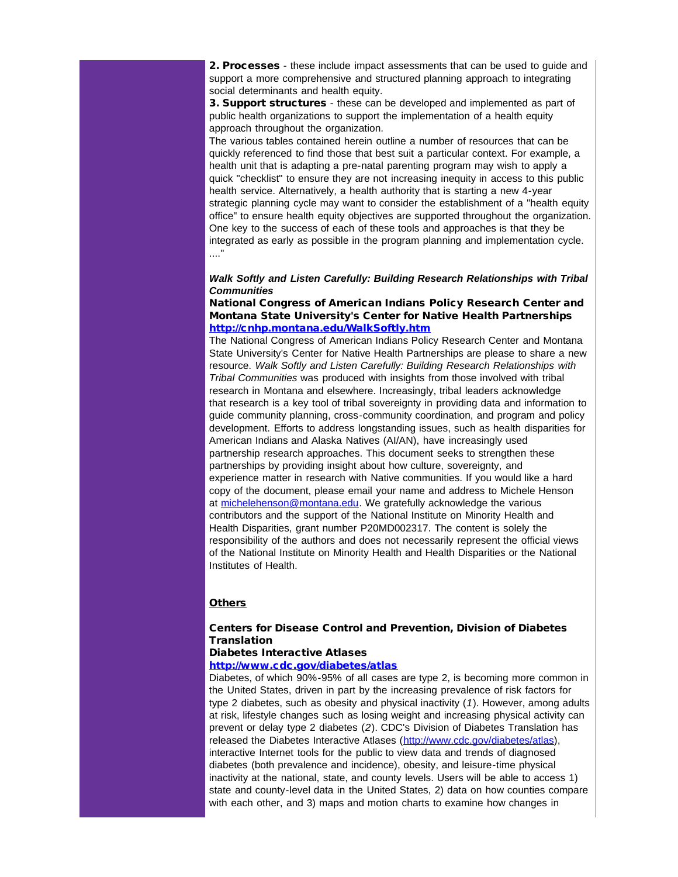2. Processes - these include impact assessments that can be used to guide and support a more comprehensive and structured planning approach to integrating social determinants and health equity.

3. Support structures - these can be developed and implemented as part of public health organizations to support the implementation of a health equity approach throughout the organization.

The various tables contained herein outline a number of resources that can be quickly referenced to find those that best suit a particular context. For example, a health unit that is adapting a pre-natal parenting program may wish to apply a quick "checklist" to ensure they are not increasing inequity in access to this public health service. Alternatively, a health authority that is starting a new 4-year strategic planning cycle may want to consider the establishment of a "health equity office" to ensure health equity objectives are supported throughout the organization. One key to the success of each of these tools and approaches is that they be integrated as early as possible in the program planning and implementation cycle. ...."

## *Walk Softly and Listen Carefully: Building Research Relationships with Tribal Communities*

## National Congress of American Indians Policy Research Center and Montana State University's Center for Native Health Partnerships [http://cnhp.montana.edu/WalkSoftly.htm](http://r20.rs6.net/tn.jsp?t=guhnbnlab.0.d9pocnlab.5gytkqcab.1&ts=S0849&p=http%3A%2F%2Fcnhp.montana.edu%2FWalkSoftly.htm)

The National Congress of American Indians Policy Research Center and Montana State University's Center for Native Health Partnerships are please to share a new resource. *Walk Softly and Listen Carefully: Building Research Relationships with Tribal Communities* was produced with insights from those involved with tribal research in Montana and elsewhere. Increasingly, tribal leaders acknowledge that research is a key tool of tribal sovereignty in providing data and information to guide community planning, cross-community coordination, and program and policy development. Efforts to address longstanding issues, such as health disparities for American Indians and Alaska Natives (AI/AN), have increasingly used partnership research approaches. This document seeks to strengthen these partnerships by providing insight about how culture, sovereignty, and experience matter in research with Native communities. If you would like a hard copy of the document, please email your name and address to Michele Henson at [michelehenson@montana.edu.](mailto:michelehenson@montana.edu) We gratefully acknowledge the various contributors and the support of the National Institute on Minority Health and Health Disparities, grant number P20MD002317. The content is solely the responsibility of the authors and does not necessarily represent the official views of the National Institute on Minority Health and Health Disparities or the National Institutes of Health.

## **Others**

# Centers for Disease Control and Prevention, Division of Diabetes **Translation**

#### Diabetes Interactive Atlases

#### [http://www.cdc.gov/diabetes/atlas](http://r20.rs6.net/tn.jsp?t=guhnbnlab.0.e9pocnlab.5gytkqcab.1&ts=S0849&p=http%3A%2F%2Fwww.cdc.gov%2Fdiabetes%2Fatlas)

Diabetes, of which 90%-95% of all cases are type 2, is becoming more common in the United States, driven in part by the increasing prevalence of risk factors for type 2 diabetes, such as obesity and physical inactivity (*1*). However, among adults at risk, lifestyle changes such as losing weight and increasing physical activity can prevent or delay type 2 diabetes (*2*). CDC's Division of Diabetes Translation has released the Diabetes Interactive Atlases [\(http://www.cdc.gov/diabetes/atlas](http://r20.rs6.net/tn.jsp?t=guhnbnlab.0.e9pocnlab.5gytkqcab.1&ts=S0849&p=http%3A%2F%2Fwww.cdc.gov%2Fdiabetes%2Fatlas)), interactive Internet tools for the public to view data and trends of diagnosed diabetes (both prevalence and incidence), obesity, and leisure-time physical inactivity at the national, state, and county levels. Users will be able to access 1) state and county-level data in the United States, 2) data on how counties compare with each other, and 3) maps and motion charts to examine how changes in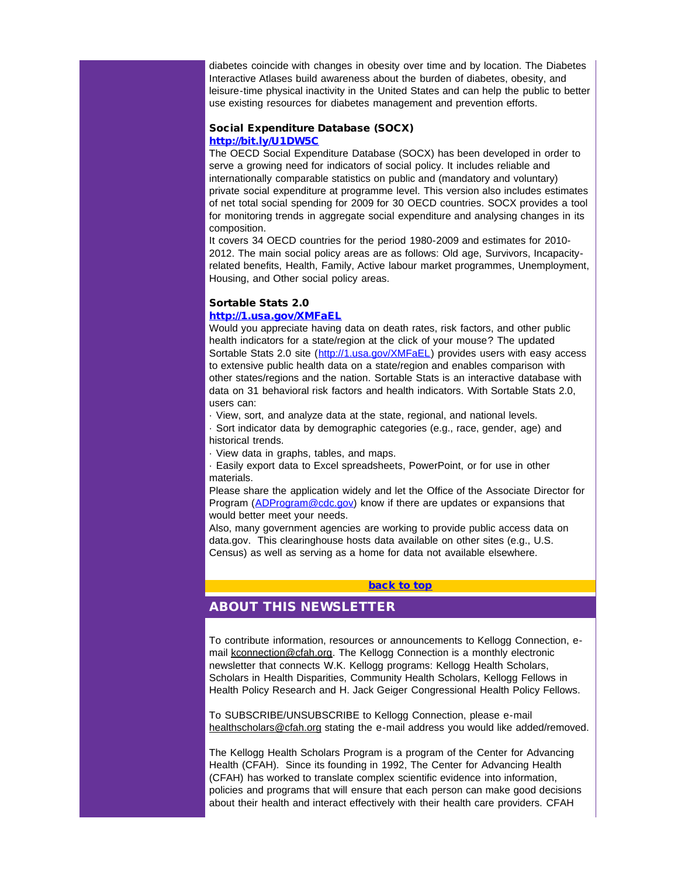diabetes coincide with changes in obesity over time and by location. The Diabetes Interactive Atlases build awareness about the burden of diabetes, obesity, and leisure-time physical inactivity in the United States and can help the public to better use existing resources for diabetes management and prevention efforts.

## Social Expenditure Database (SOCX) [http://bit.ly/U1DW5C](http://r20.rs6.net/tn.jsp?t=guhnbnlab.0.f9pocnlab.5gytkqcab.1&ts=S0849&p=http%3A%2F%2Fbit.ly%2FU1DW5C)

The OECD Social Expenditure Database (SOCX) has been developed in order to serve a growing need for indicators of social policy. It includes reliable and internationally comparable statistics on public and (mandatory and voluntary) private social expenditure at programme level. This version also includes estimates of net total social spending for 2009 for 30 OECD countries. SOCX provides a tool for monitoring trends in aggregate social expenditure and analysing changes in its composition.

It covers 34 OECD countries for the period 1980-2009 and estimates for 2010- 2012. The main social policy areas are as follows: Old age, Survivors, Incapacityrelated benefits, Health, Family, Active labour market programmes, Unemployment, Housing, and Other social policy areas.

# Sortable Stats 2.0

# [http://1.usa.gov/XMFaEL](http://r20.rs6.net/tn.jsp?t=guhnbnlab.0.g9pocnlab.5gytkqcab.1&ts=S0849&p=http%3A%2F%2F1.usa.gov%2FXMFaEL)

Would you appreciate having data on death rates, risk factors, and other public health indicators for a state/region at the click of your mouse? The updated Sortable Stats 2.0 site ([http://1.usa.gov/XMFaEL](http://r20.rs6.net/tn.jsp?t=guhnbnlab.0.g9pocnlab.5gytkqcab.1&ts=S0849&p=http%3A%2F%2F1.usa.gov%2FXMFaEL)) provides users with easy access to extensive public health data on a state/region and enables comparison with other states/regions and the nation. Sortable Stats is an interactive database with data on 31 behavioral risk factors and health indicators. With Sortable Stats 2.0, users can:

· View, sort, and analyze data at the state, regional, and national levels.

· Sort indicator data by demographic categories (e.g., race, gender, age) and historical trends.

· View data in graphs, tables, and maps.

· Easily export data to Excel spreadsheets, PowerPoint, or for use in other materials.

Please share the application widely and let the Office of the Associate Director for Program ([ADProgram@cdc.gov\)](mailto:ADProgram@cdc.gov) know if there are updates or expansions that would better meet your needs.

Also, many government agencies are working to provide public access data on data.gov. This clearinghouse hosts data available on other sites (e.g., U.S. Census) as well as serving as a home for data not available elsewhere.

## [back to top](#page-0-2)

# ABOUT THIS NEWSLETTER

To contribute information, resources or announcements to Kellogg Connection, email [kconnection@cfah.org.](mailto:kconnection@cfah.org) The Kellogg Connection is a monthly electronic newsletter that connects W.K. Kellogg programs: Kellogg Health Scholars, Scholars in Health Disparities, Community Health Scholars, Kellogg Fellows in Health Policy Research and H. Jack Geiger Congressional Health Policy Fellows.

To SUBSCRIBE/UNSUBSCRIBE to Kellogg Connection, please e-mail [healthscholars@cfah.org](mailto:healthscholars@cfah.org) stating the e-mail address you would like added/removed.

The Kellogg Health Scholars Program is a program of the Center for Advancing Health (CFAH). Since its founding in 1992, The Center for Advancing Health (CFAH) has worked to translate complex scientific evidence into information, policies and programs that will ensure that each person can make good decisions about their health and interact effectively with their health care providers. CFAH